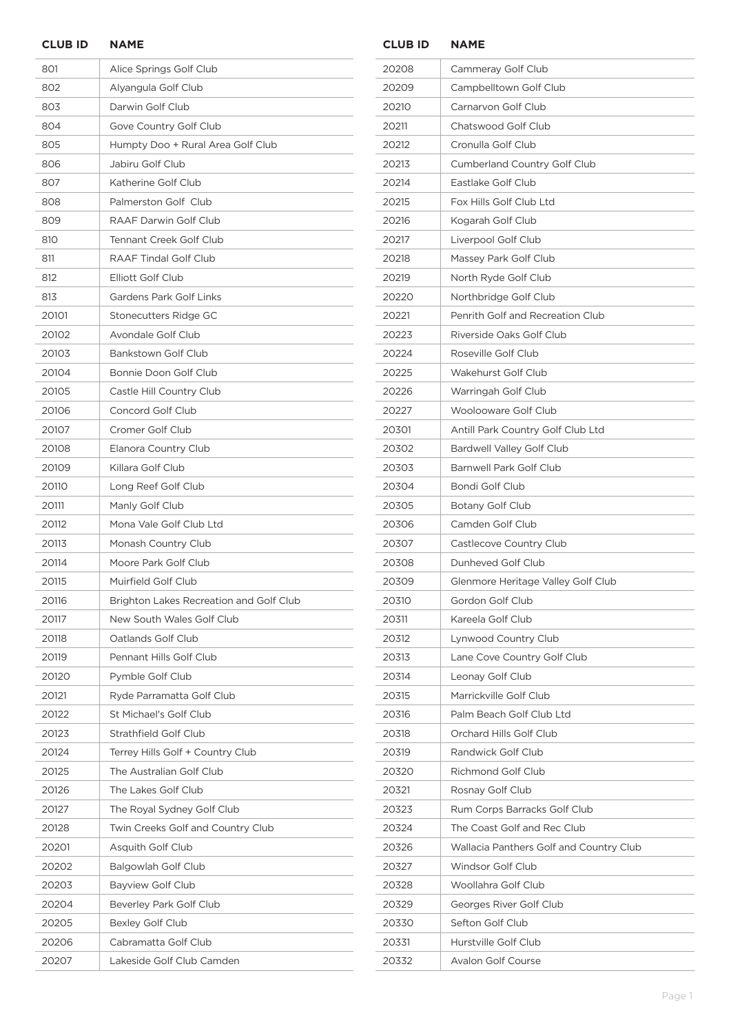| <b>CLUB ID</b> | <b>NAME</b>                             |
|----------------|-----------------------------------------|
| 801            | Alice Springs Golf Club                 |
| 802            | Alyangula Golf Club                     |
| 803            | Darwin Golf Club                        |
| 804            | Gove Country Golf Club                  |
| 805            | Humpty Doo + Rural Area Golf Club       |
| 806            | Jabiru Golf Club                        |
| 807            | Katherine Golf Club                     |
| 808            | Palmerston Golf Club                    |
| 809            | <b>RAAF Darwin Golf Club</b>            |
| 810            | <b>Tennant Creek Golf Club</b>          |
| 811            | <b>RAAF Tindal Golf Club</b>            |
| 812            | <b>Elliott Golf Club</b>                |
| 813            | Gardens Park Golf Links                 |
| 20101          | Stonecutters Ridge GC                   |
| 20102          | Avondale Golf Club                      |
| 20103          | <b>Bankstown Golf Club</b>              |
| 20104          | Bonnie Doon Golf Club                   |
| 20105          | Castle Hill Country Club                |
| 20106          | Concord Golf Club                       |
| 20107          | Cromer Golf Club                        |
| 20108          | Elanora Country Club                    |
| 20109          | Killara Golf Club                       |
| 20110          | Long Reef Golf Club                     |
| 20111          | Manly Golf Club                         |
| 20112          | Mona Vale Golf Club Ltd                 |
| 20113          | Monash Country Club                     |
| 20114          | Moore Park Golf Club                    |
| 20115          | Muirfield Golf Club                     |
| 20116          | Brighton Lakes Recreation and Golf Club |
| 20117          | New South Wales Golf Club               |
| 20118          | Oatlands Golf Club                      |
| 20119          | Pennant Hills Golf Club                 |
| 20120          | Pymble Golf Club                        |
| 20121          | Ryde Parramatta Golf Club               |
| 20122          | St Michael's Golf Club                  |
| 20123          | Strathfield Golf Club                   |
| 20124          | Terrey Hills Golf + Country Club        |
| 20125          | The Australian Golf Club                |
| 20126          | The Lakes Golf Club                     |
| 20127          | The Royal Sydney Golf Club              |
| 20128          | Twin Creeks Golf and Country Club       |
| 20201          | Asquith Golf Club                       |
| 20202          | <b>Balgowlah Golf Club</b>              |
| 20203          | <b>Bayview Golf Club</b>                |
| 20204          | Beverley Park Golf Club                 |
| 20205          | Bexley Golf Club                        |
| 20206          | Cabramatta Golf Club                    |
| 20207          | Lakeside Golf Club Camden               |

| <b>CLUB ID</b> | <b>NAME</b>                             |
|----------------|-----------------------------------------|
| 20208          | Cammeray Golf Club                      |
| 20209          | Campbelltown Golf Club                  |
| 20210          | Carnarvon Golf Club                     |
| 20211          | Chatswood Golf Club                     |
| 20212          | Cronulla Golf Club                      |
| 20213          | <b>Cumberland Country Golf Club</b>     |
| 20214          | Eastlake Golf Club                      |
| 20215          | Fox Hills Golf Club Ltd                 |
| 20216          | Kogarah Golf Club                       |
| 20217          | Liverpool Golf Club                     |
| 20218          | Massey Park Golf Club                   |
| 20219          | North Ryde Golf Club                    |
| 20220          | Northbridge Golf Club                   |
| 20221          | Penrith Golf and Recreation Club        |
| 20223          | Riverside Oaks Golf Club                |
| 20224          | Roseville Golf Club                     |
| 20225          | Wakehurst Golf Club                     |
| 20226          | Warringah Golf Club                     |
| 20227          | Woolooware Golf Club                    |
| 20301          | Antill Park Country Golf Club Ltd       |
| 20302          | Bardwell Valley Golf Club               |
| 20303          | <b>Barnwell Park Golf Club</b>          |
| 20304          | <b>Bondi Golf Club</b>                  |
| 20305          | <b>Botany Golf Club</b>                 |
| 20306          | Camden Golf Club                        |
| 20307          | Castlecove Country Club                 |
| 20308          | Dunheved Golf Club                      |
| 20309          | Glenmore Heritage Valley Golf Club      |
| 20310          | Gordon Golf Club                        |
| 20311          | Kareela Golf Club                       |
| 20312          | Lynwood Country Club                    |
| 20313          | Lane Cove Country Golf Club             |
| 20314          | Leonay Golf Club                        |
| 20315          | Marrickville Golf Club                  |
| 20316          | Palm Beach Golf Club Ltd                |
| 20318          | Orchard Hills Golf Club                 |
| 20319          | Randwick Golf Club                      |
| 20320          | <b>Richmond Golf Club</b>               |
| 20321          | Rosnay Golf Club                        |
| 20323          | Rum Corps Barracks Golf Club            |
| 20324          | The Coast Golf and Rec Club             |
| 20326          | Wallacia Panthers Golf and Country Club |
| 20327          | Windsor Golf Club                       |
| 20328          | Woollahra Golf Club                     |
| 20329          | Georges River Golf Club                 |
| 20330          | Sefton Golf Club                        |
| 20331          | Hurstville Golf Club                    |
| 20332          | <b>Avalon Golf Course</b>               |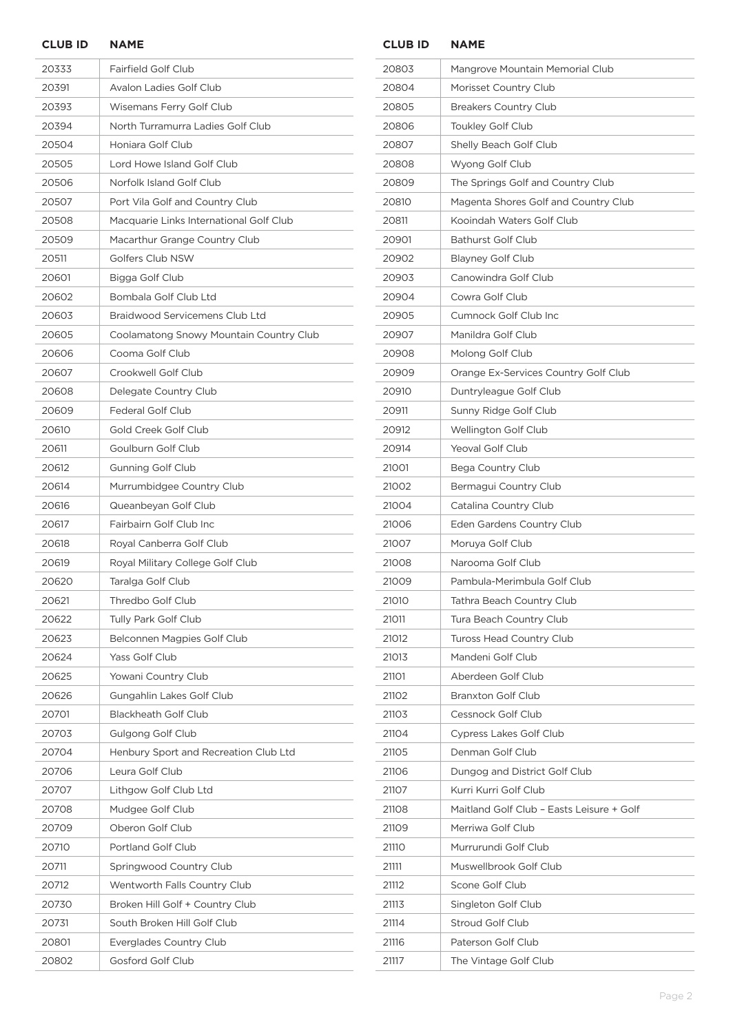| <b>CLUB ID</b> | <b>NAME</b>                             |
|----------------|-----------------------------------------|
| 20333          | <b>Fairfield Golf Club</b>              |
| 20391          | <b>Avalon Ladies Golf Club</b>          |
| 20393          | Wisemans Ferry Golf Club                |
| 20394          | North Turramurra Ladies Golf Club       |
| 20504          | Honiara Golf Club                       |
| 20505          | Lord Howe Island Golf Club              |
| 20506          | Norfolk Island Golf Club                |
| 20507          | Port Vila Golf and Country Club         |
| 20508          | Macquarie Links International Golf Club |
| 20509          | Macarthur Grange Country Club           |
| 20511          | Golfers Club NSW                        |
| 20601          | Bigga Golf Club                         |
| 20602          | Bombala Golf Club Ltd                   |
| 20603          | Braidwood Servicemens Club Ltd          |
| 20605          | Coolamatong Snowy Mountain Country Club |
| 20606          | Cooma Golf Club                         |
| 20607          | Crookwell Golf Club                     |
| 20608          | Delegate Country Club                   |
| 20609          | <b>Federal Golf Club</b>                |
| 20610          | Gold Creek Golf Club                    |
| 20611          | Goulburn Golf Club                      |
| 20612          | <b>Gunning Golf Club</b>                |
| 20614          | Murrumbidgee Country Club               |
| 20616          | Queanbeyan Golf Club                    |
| 20617          | Fairbairn Golf Club Inc                 |
| 20618          | Royal Canberra Golf Club                |
| 20619          | Royal Military College Golf Club        |
| 20620          | Taralga Golf Club                       |
| 20621          | Thredbo Golf Club                       |
| 20622          | <b>Tully Park Golf Club</b>             |
| 20623          | Belconnen Magpies Golf Club             |
| 20624          | Yass Golf Club                          |
| 20625          | Yowani Country Club                     |
| 20626          | Gungahlin Lakes Golf Club               |
| 20701          | <b>Blackheath Golf Club</b>             |
| 20703          | Gulgong Golf Club                       |
| 20704          | Henbury Sport and Recreation Club Ltd   |
| 20706          | Leura Golf Club                         |
| 20707          | Lithgow Golf Club Ltd                   |
| 20708          | Mudgee Golf Club                        |
| 20709          | Oberon Golf Club                        |
| 20710          | <b>Portland Golf Club</b>               |
| 20711          | Springwood Country Club                 |
| 20712          | Wentworth Falls Country Club            |
| 20730          | Broken Hill Golf + Country Club         |
| 20731          | South Broken Hill Golf Club             |
| 20801          | Everglades Country Club                 |
| 20802          | Gosford Golf Club                       |

| CLUB ID | <b>NAME</b>                               |
|---------|-------------------------------------------|
| 20803   | Mangrove Mountain Memorial Club           |
| 20804   | Morisset Country Club                     |
| 20805   | <b>Breakers Country Club</b>              |
| 20806   | <b>Toukley Golf Club</b>                  |
| 20807   | <b>Shelly Beach Golf Club</b>             |
| 20808   | Wyong Golf Club                           |
| 20809   | The Springs Golf and Country Club         |
| 20810   | Magenta Shores Golf and Country Club      |
| 20811   | Kooindah Waters Golf Club                 |
| 20901   | <b>Bathurst Golf Club</b>                 |
| 20902   | <b>Blayney Golf Club</b>                  |
| 20903   | Canowindra Golf Club                      |
| 20904   | Cowra Golf Club                           |
| 20905   | Cumnock Golf Club Inc                     |
| 20907   | Manildra Golf Club                        |
| 20908   | Molong Golf Club                          |
| 20909   | Orange Ex-Services Country Golf Club      |
| 20910   | Duntryleague Golf Club                    |
| 20911   | Sunny Ridge Golf Club                     |
| 20912   | Wellington Golf Club                      |
| 20914   | <b>Yeoval Golf Club</b>                   |
| 21001   | Bega Country Club                         |
| 21002   | Bermagui Country Club                     |
| 21004   | Catalina Country Club                     |
| 21006   | Eden Gardens Country Club                 |
| 21007   | Moruya Golf Club                          |
| 21008   | Narooma Golf Club                         |
| 21009   | Pambula-Merimbula Golf Club               |
| 21010   | Tathra Beach Country Club                 |
| 21011   | Tura Beach Country Club                   |
| 21012   | <b>Tuross Head Country Club</b>           |
| 21013   | Mandeni Golf Club                         |
| 21101   | Aberdeen Golf Club                        |
| 21102   | <b>Branxton Golf Club</b>                 |
| 21103   | Cessnock Golf Club                        |
| 21104   | <b>Cypress Lakes Golf Club</b>            |
| 21105   | Denman Golf Club                          |
| 21106   | Dungog and District Golf Club             |
| 21107   | Kurri Kurri Golf Club                     |
| 21108   | Maitland Golf Club - Easts Leisure + Golf |
| 21109   | Merriwa Golf Club                         |
| 21110   | Murrurundi Golf Club                      |
| 21111   | Muswellbrook Golf Club                    |
| 21112   | Scone Golf Club                           |
| 21113   | Singleton Golf Club                       |
| 21114   | Stroud Golf Club                          |
| 21116   | Paterson Golf Club                        |
| 21117   | The Vintage Golf Club                     |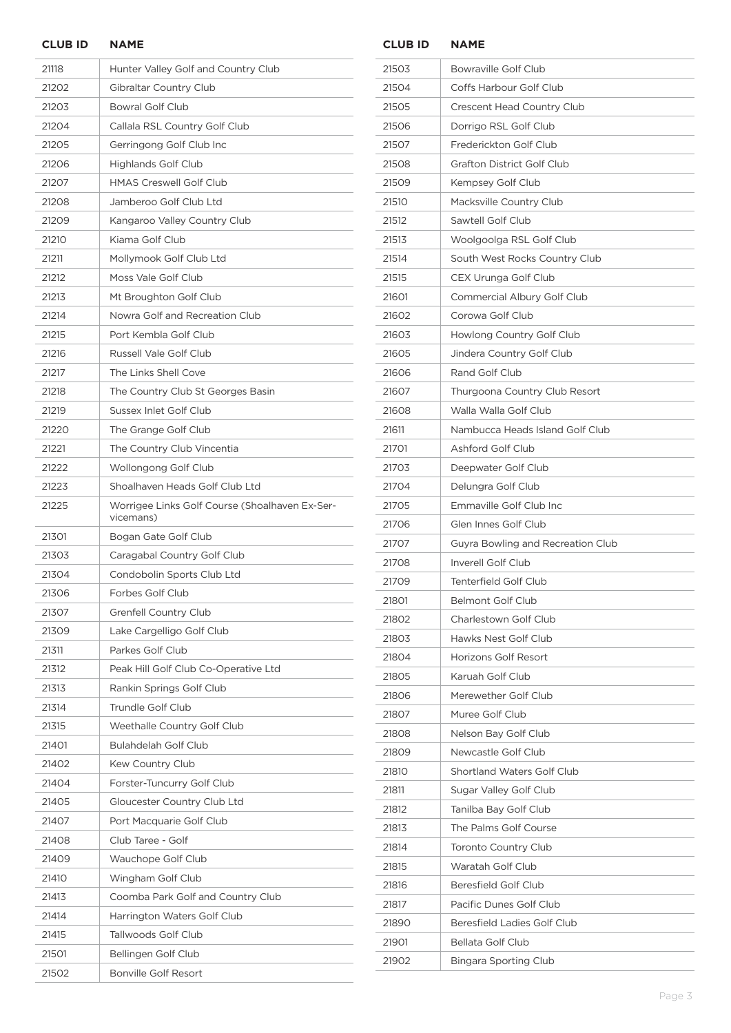| <b>CLUB ID</b> | <b>NAME</b>                                                 |
|----------------|-------------------------------------------------------------|
| 21118          | Hunter Valley Golf and Country Club                         |
| 21202          | Gibraltar Country Club                                      |
| 21203          | <b>Bowral Golf Club</b>                                     |
| 21204          | Callala RSL Country Golf Club                               |
| 21205          | Gerringong Golf Club Inc                                    |
| 21206          | <b>Highlands Golf Club</b>                                  |
| 21207          | <b>HMAS Creswell Golf Club</b>                              |
| 21208          | Jamberoo Golf Club Ltd                                      |
| 21209          | Kangaroo Valley Country Club                                |
| 21210          | Kiama Golf Club                                             |
| 21211          | Mollymook Golf Club Ltd                                     |
| 21212          | Moss Vale Golf Club                                         |
| 21213          | Mt Broughton Golf Club                                      |
| 21214          | Nowra Golf and Recreation Club                              |
| 21215          | Port Kembla Golf Club                                       |
| 21216          | <b>Russell Vale Golf Club</b>                               |
| 21217          | The Links Shell Cove                                        |
| 21218          | The Country Club St Georges Basin                           |
| 21219          | Sussex Inlet Golf Club                                      |
| 21220          | The Grange Golf Club                                        |
| 21221          | The Country Club Vincentia                                  |
| 21222          | Wollongong Golf Club                                        |
| 21223          | Shoalhaven Heads Golf Club Ltd                              |
| 21225          | Worrigee Links Golf Course (Shoalhaven Ex-Ser-<br>vicemans) |
| 21301          | Bogan Gate Golf Club                                        |
| 21303          | Caragabal Country Golf Club                                 |
| 21304          | Condobolin Sports Club Ltd                                  |
| 21306          | Forbes Golf Club                                            |
| 21307          | Grenfell Country Club                                       |
| 21309          | Lake Cargelligo Golf Club                                   |
| 21311          | Parkes Golf Club                                            |
| 21312          | Peak Hill Golf Club Co-Operative Ltd                        |
| 21313          | Rankin Springs Golf Club                                    |
| 21314          | <b>Trundle Golf Club</b>                                    |
| 21315          | Weethalle Country Golf Club                                 |
| 21401          | <b>Bulahdelah Golf Club</b>                                 |
| 21402          | <b>Kew Country Club</b>                                     |
| 21404          | Forster-Tuncurry Golf Club                                  |
| 21405          | Gloucester Country Club Ltd                                 |
| 21407          | Port Macquarie Golf Club                                    |
| 21408          | Club Taree - Golf                                           |
| 21409          | Wauchope Golf Club                                          |
| 21410          | Wingham Golf Club                                           |
| 21413          | Coomba Park Golf and Country Club                           |
| 21414          | Harrington Waters Golf Club                                 |
| 21415          | <b>Tallwoods Golf Club</b>                                  |
| 21501          | Bellingen Golf Club                                         |
| 21502          | <b>Bonville Golf Resort</b>                                 |

| <b>CLUB ID</b> | <b>NAME</b>                        |
|----------------|------------------------------------|
| 21503          | <b>Bowraville Golf Club</b>        |
| 21504          | Coffs Harbour Golf Club            |
| 21505          | Crescent Head Country Club         |
| 21506          | Dorrigo RSL Golf Club              |
| 21507          | Frederickton Golf Club             |
| 21508          | <b>Grafton District Golf Club</b>  |
| 21509          | Kempsey Golf Club                  |
| 21510          | Macksville Country Club            |
| 21512          | Sawtell Golf Club                  |
| 21513          | Woolgoolga RSL Golf Club           |
| 21514          | South West Rocks Country Club      |
| 21515          | CEX Urunga Golf Club               |
| 21601          | Commercial Albury Golf Club        |
| 21602          | Corowa Golf Club                   |
| 21603          | Howlong Country Golf Club          |
| 21605          | Jindera Country Golf Club          |
| 21606          | Rand Golf Club                     |
| 21607          | Thurgoona Country Club Resort      |
| 21608          | Walla Walla Golf Club              |
| 21611          | Nambucca Heads Island Golf Club    |
| 21701          | Ashford Golf Club                  |
| 21703          | Deepwater Golf Club                |
| 21704          | Delungra Golf Club                 |
| 21705          | Emmaville Golf Club Inc            |
| 21706          | Glen Innes Golf Club               |
| 21707          | Guyra Bowling and Recreation Club  |
| 21708          | Inverell Golf Club                 |
| 21709          | Tenterfield Golf Club              |
| 21801          | <b>Belmont Golf Club</b>           |
| 21802          | Charlestown Golf Club              |
| 21803          | Hawks Nest Golf Club               |
| 21804          | Horizons Golf Resort               |
| 21805          | Karuah Golf Club                   |
| 21806          | Merewether Golf Club               |
| 21807          | Muree Golf Club                    |
| 21808          | Nelson Bay Golf Club               |
| 21809          | Newcastle Golf Club                |
| 21810          | <b>Shortland Waters Golf Club</b>  |
| 21811          | Sugar Valley Golf Club             |
| 21812          | Tanilba Bay Golf Club              |
| 21813          | The Palms Golf Course              |
| 21814          | <b>Toronto Country Club</b>        |
| 21815          | Waratah Golf Club                  |
| 21816          | Beresfield Golf Club               |
| 21817          | Pacific Dunes Golf Club            |
| 21890          | <b>Beresfield Ladies Golf Club</b> |
| 21901          | <b>Bellata Golf Club</b>           |
| 21902          | Bingara Sporting Club              |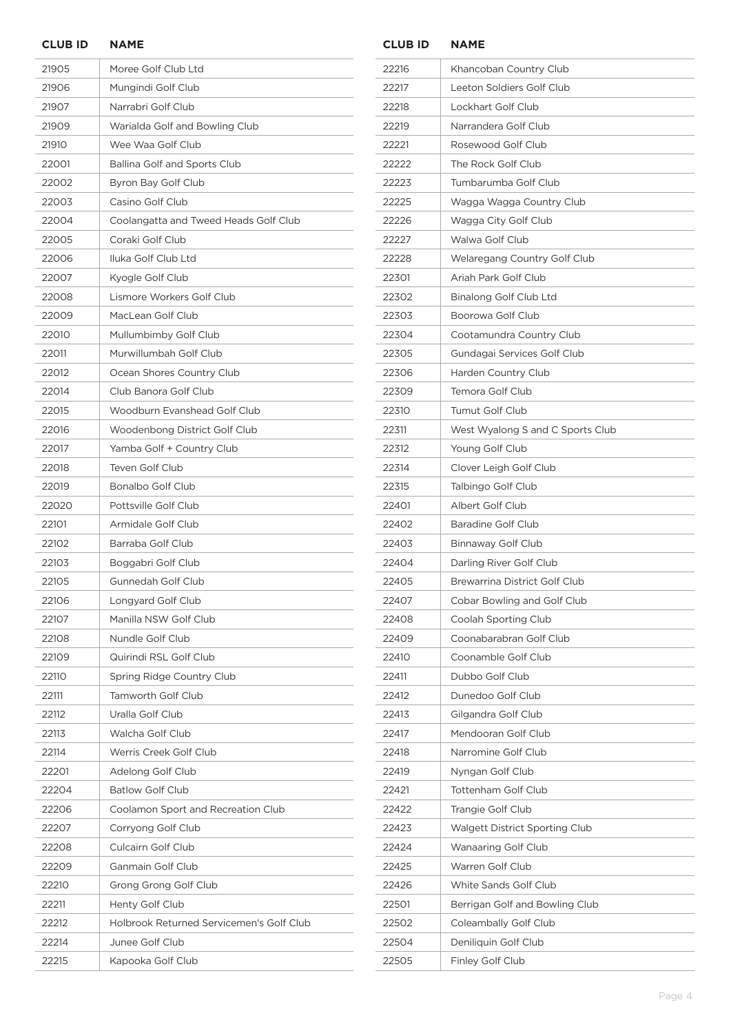| <b>CLUB ID</b> | <b>NAME</b>                              |
|----------------|------------------------------------------|
| 21905          | Moree Golf Club Ltd                      |
| 21906          | Mungindi Golf Club                       |
| 21907          | Narrabri Golf Club                       |
| 21909          | Warialda Golf and Bowling Club           |
| 21910          | Wee Waa Golf Club                        |
| 22001          | <b>Ballina Golf and Sports Club</b>      |
| 22002          | Byron Bay Golf Club                      |
| 22003          | Casino Golf Club                         |
| 22004          | Coolangatta and Tweed Heads Golf Club    |
| 22005          | Coraki Golf Club                         |
| 22006          | Iluka Golf Club Ltd                      |
| 22007          | Kyogle Golf Club                         |
| 22008          | Lismore Workers Golf Club                |
| 22009          | MacLean Golf Club                        |
| 22010          | Mullumbimby Golf Club                    |
| 22011          | Murwillumbah Golf Club                   |
| 22012          | Ocean Shores Country Club                |
| 22014          | Club Banora Golf Club                    |
| 22015          | Woodburn Evanshead Golf Club             |
| 22016          | Woodenbong District Golf Club            |
| 22017          | Yamba Golf + Country Club                |
| 22018          | <b>Teven Golf Club</b>                   |
| 22019          | <b>Bonalbo Golf Club</b>                 |
| 22020          | Pottsville Golf Club                     |
| 22101          | Armidale Golf Club                       |
| 22102          | Barraba Golf Club                        |
| 22103          | Boggabri Golf Club                       |
| 22105          | Gunnedah Golf Club                       |
| 22106          | Longyard Golf Club                       |
| 22107          | Manilla NSW Golf Club                    |
| 22108          | Nundle Golf Club                         |
| 22109          | Quirindi RSL Golf Club                   |
| 22110          | Spring Ridge Country Club                |
| 22111          | <b>Tamworth Golf Club</b>                |
| 22112          | Uralla Golf Club                         |
| 22113          | Walcha Golf Club                         |
| 22114          | Werris Creek Golf Club                   |
| 22201          | Adelong Golf Club                        |
| 22204          | <b>Batlow Golf Club</b>                  |
| 22206          | Coolamon Sport and Recreation Club       |
| 22207          | Corryong Golf Club                       |
| 22208          | <b>Culcairn Golf Club</b>                |
| 22209          | Ganmain Golf Club                        |
| 22210          | Grong Grong Golf Club                    |
| 22211          | Henty Golf Club                          |
| 22212          | Holbrook Returned Servicemen's Golf Club |
| 22214          | Junee Golf Club                          |
| 22215          | Kapooka Golf Club                        |

| <b>CLUB ID</b> | <b>NAME</b>                           |
|----------------|---------------------------------------|
| 22216          | Khancoban Country Club                |
| 22217          | Leeton Soldiers Golf Club             |
| 22218          | Lockhart Golf Club                    |
| 22219          | Narrandera Golf Club                  |
| 22221          | Rosewood Golf Club                    |
| 22222          | The Rock Golf Club                    |
| 22223          | Tumbarumba Golf Club                  |
| 22225          | Wagga Wagga Country Club              |
| 22226          | Wagga City Golf Club                  |
| 22227          | Walwa Golf Club                       |
| 22228          | Welaregang Country Golf Club          |
| 22301          | Ariah Park Golf Club                  |
| 22302          | Binalong Golf Club Ltd                |
| 22303          | Boorowa Golf Club                     |
| 22304          | Cootamundra Country Club              |
| 22305          | Gundagai Services Golf Club           |
| 22306          | Harden Country Club                   |
| 22309          | <b>Temora Golf Club</b>               |
| 22310          | <b>Tumut Golf Club</b>                |
| 22311          | West Wyalong S and C Sports Club      |
| 22312          | Young Golf Club                       |
| 22314          | Clover Leigh Golf Club                |
| 22315          | Talbingo Golf Club                    |
| 22401          | Albert Golf Club                      |
| 22402          | <b>Baradine Golf Club</b>             |
| 22403          | Binnaway Golf Club                    |
| 22404          | Darling River Golf Club               |
| 22405          | <b>Brewarrina District Golf Club</b>  |
| 22407          | Cobar Bowling and Golf Club           |
| 22408          | Coolah Sporting Club                  |
| 22409          | Coonabarabran Golf Club               |
| 22410          | Coonamble Golf Club                   |
| 22411          | Dubbo Golf Club                       |
| 22412          | Dunedoo Golf Club                     |
| 22413          | Gilgandra Golf Club                   |
| 22417          | Mendooran Golf Club                   |
| 22418          | Narromine Golf Club                   |
| 22419          | Nyngan Golf Club                      |
| 22421          | <b>Tottenham Golf Club</b>            |
| 22422          | Trangie Golf Club                     |
| 22423          | <b>Walgett District Sporting Club</b> |
| 22424          | Wanaaring Golf Club                   |
| 22425          | Warren Golf Club                      |
| 22426          | White Sands Golf Club                 |
| 22501          | Berrigan Golf and Bowling Club        |
| 22502          | Coleambally Golf Club                 |
| 22504          | Deniliquin Golf Club                  |
| 22505          | Finley Golf Club                      |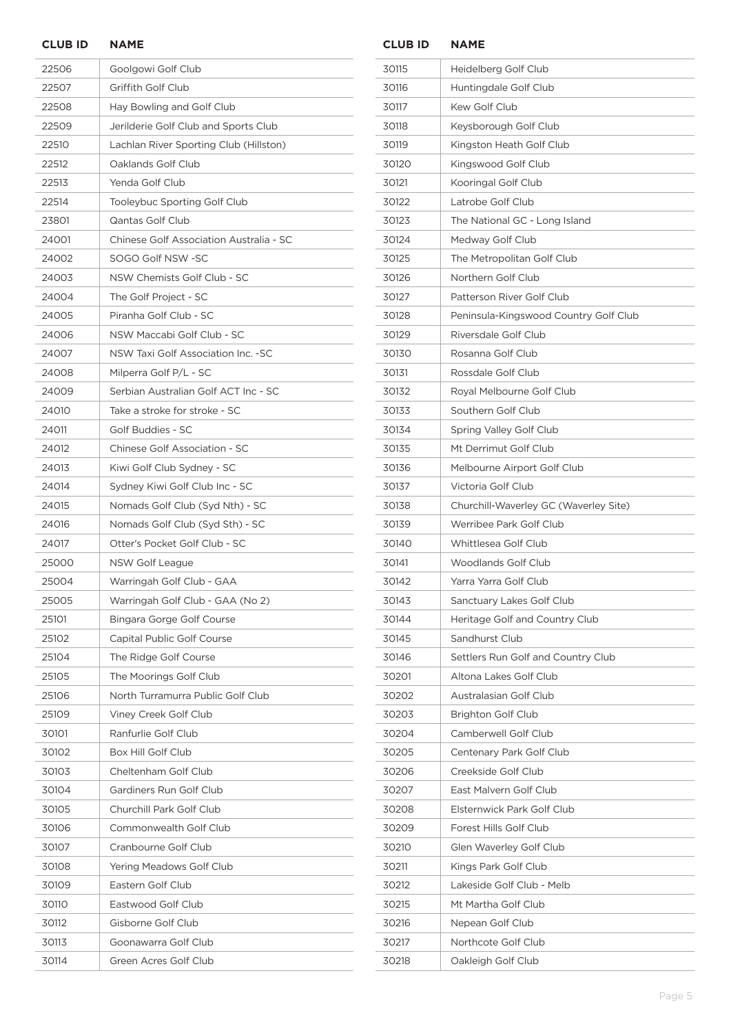| <b>CLUB ID</b> | <b>NAME</b>                             |
|----------------|-----------------------------------------|
| 22506          | Goolgowi Golf Club                      |
| 22507          | <b>Griffith Golf Club</b>               |
| 22508          | Hay Bowling and Golf Club               |
| 22509          | Jerilderie Golf Club and Sports Club    |
| 22510          | Lachlan River Sporting Club (Hillston)  |
| 22512          | Oaklands Golf Club                      |
| 22513          | Yenda Golf Club                         |
| 22514          | Tooleybuc Sporting Golf Club            |
| 23801          | <b>Qantas Golf Club</b>                 |
| 24001          | Chinese Golf Association Australia - SC |
| 24002          | SOGO Golf NSW -SC                       |
| 24003          | NSW Chemists Golf Club - SC             |
| 24004          | The Golf Project - SC                   |
| 24005          | Piranha Golf Club - SC                  |
| 24006          | NSW Maccabi Golf Club - SC              |
| 24007          | NSW Taxi Golf Association Inc. -SC      |
| 24008          | Milperra Golf P/L - SC                  |
| 24009          | Serbian Australian Golf ACT Inc - SC    |
| 24010          | Take a stroke for stroke - SC           |
| 24011          | Golf Buddies - SC                       |
| 24012          | Chinese Golf Association - SC           |
| 24013          | Kiwi Golf Club Sydney - SC              |
| 24014          | Sydney Kiwi Golf Club Inc - SC          |
| 24015          | Nomads Golf Club (Syd Nth) - SC         |
| 24016          | Nomads Golf Club (Syd Sth) - SC         |
| 24017          | Otter's Pocket Golf Club - SC           |
| 25000          | NSW Golf League                         |
| 25004          | Warringah Golf Club - GAA               |
| 25005          | Warringah Golf Club - GAA (No 2)        |
| 25101          | Bingara Gorge Golf Course               |
| 25102          | Capital Public Golf Course              |
| 25104          | The Ridge Golf Course                   |
| 25105          | The Moorings Golf Club                  |
| 25106          | North Turramurra Public Golf Club       |
| 25109          | Viney Creek Golf Club                   |
| 30101          | Ranfurlie Golf Club                     |
| 30102          | <b>Box Hill Golf Club</b>               |
| 30103          | Cheltenham Golf Club                    |
| 30104          | Gardiners Run Golf Club                 |
| 30105          | Churchill Park Golf Club                |
| 30106          | Commonwealth Golf Club                  |
| 30107          | Cranbourne Golf Club                    |
| 30108          | Yering Meadows Golf Club                |
| 30109          | Eastern Golf Club                       |
| 30110          | Eastwood Golf Club                      |
| 30112          | Gisborne Golf Club                      |
| 30113          | Goonawarra Golf Club                    |
| 30114          | Green Acres Golf Club                   |

| <b>CLUB ID</b> | <b>NAME</b>                           |
|----------------|---------------------------------------|
| 30115          | Heidelberg Golf Club                  |
| 30116          | Huntingdale Golf Club                 |
| 30117          | Kew Golf Club                         |
| 30118          | Keysborough Golf Club                 |
| 30119          | Kingston Heath Golf Club              |
| 30120          | Kingswood Golf Club                   |
| 30121          | Kooringal Golf Club                   |
| 30122          | Latrobe Golf Club                     |
| 30123          | The National GC - Long Island         |
| 30124          | Medway Golf Club                      |
| 30125          | The Metropolitan Golf Club            |
| 30126          | Northern Golf Club                    |
| 30127          | Patterson River Golf Club             |
| 30128          | Peninsula-Kingswood Country Golf Club |
| 30129          | Riversdale Golf Club                  |
| 30130          | Rosanna Golf Club                     |
| 30131          | Rossdale Golf Club                    |
| 30132          | Royal Melbourne Golf Club             |
| 30133          | Southern Golf Club                    |
| 30134          | Spring Valley Golf Club               |
| 30135          | Mt Derrimut Golf Club                 |
| 30136          | Melbourne Airport Golf Club           |
| 30137          | Victoria Golf Club                    |
| 30138          | Churchill-Waverley GC (Waverley Site) |
| 30139          | Werribee Park Golf Club               |
| 30140          | Whittlesea Golf Club                  |
| 30141          | Woodlands Golf Club                   |
| 30142          | Yarra Yarra Golf Club                 |
| 30143          | Sanctuary Lakes Golf Club             |
| 30144          | Heritage Golf and Country Club        |
| 30145          | Sandhurst Club                        |
| 30146          | Settlers Run Golf and Country Club    |
| 30201          | Altona Lakes Golf Club                |
| 30202          | Australasian Golf Club                |
| 30203          | <b>Brighton Golf Club</b>             |
| 30204          | Camberwell Golf Club                  |
| 30205          | Centenary Park Golf Club              |
| 30206          | Creekside Golf Club                   |
| 30207          | East Malvern Golf Club                |
| 30208          | Elsternwick Park Golf Club            |
| 30209          | Forest Hills Golf Club                |
| 30210          | Glen Waverley Golf Club               |
| 30211          | Kings Park Golf Club                  |
| 30212          | Lakeside Golf Club - Melb             |
| 30215          | Mt Martha Golf Club                   |
| 30216          | Nepean Golf Club                      |
| 30217          | Northcote Golf Club                   |
| 30218          | Oakleigh Golf Club                    |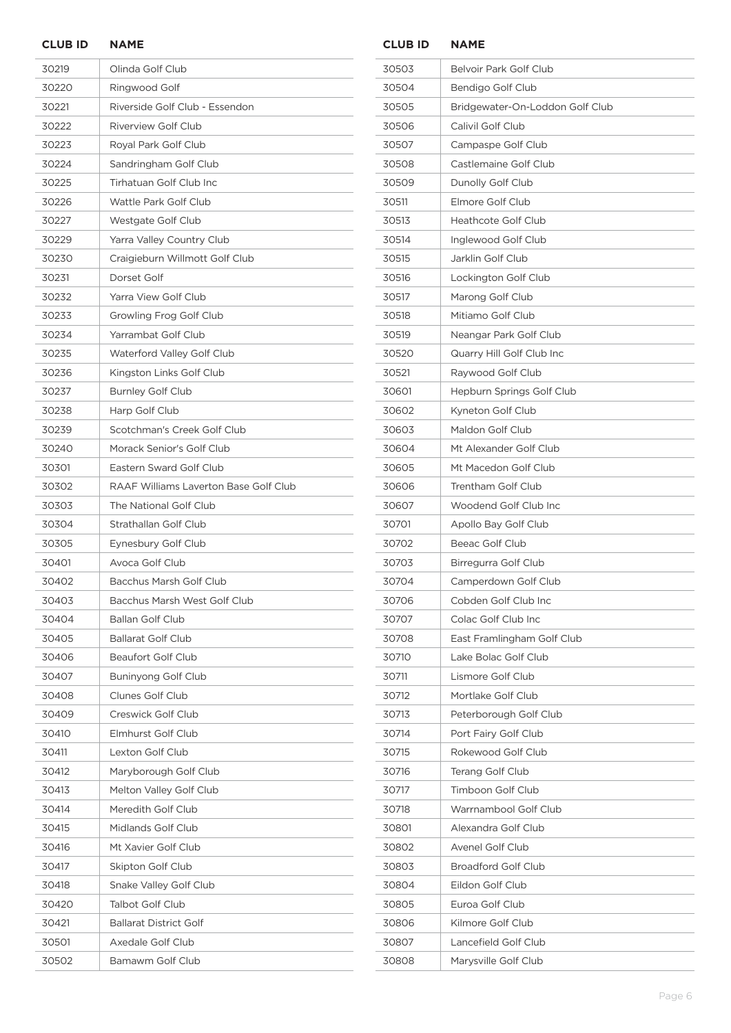| <b>CLUB ID</b> | <b>NAME</b>                           |
|----------------|---------------------------------------|
| 30219          | Olinda Golf Club                      |
| 30220          | Ringwood Golf                         |
| 30221          | Riverside Golf Club - Essendon        |
| 30222          | <b>Riverview Golf Club</b>            |
| 30223          | Royal Park Golf Club                  |
| 30224          | Sandringham Golf Club                 |
| 30225          | Tirhatuan Golf Club Inc               |
| 30226          | Wattle Park Golf Club                 |
| 30227          | Westgate Golf Club                    |
| 30229          | Yarra Valley Country Club             |
| 30230          | Craigieburn Willmott Golf Club        |
| 30231          | Dorset Golf                           |
| 30232          | Yarra View Golf Club                  |
| 30233          | Growling Frog Golf Club               |
| 30234          | Yarrambat Golf Club                   |
| 30235          | Waterford Valley Golf Club            |
| 30236          | Kingston Links Golf Club              |
| 30237          | <b>Burnley Golf Club</b>              |
| 30238          | Harp Golf Club                        |
| 30239          | Scotchman's Creek Golf Club           |
| 30240          | Morack Senior's Golf Club             |
| 30301          | Eastern Sward Golf Club               |
| 30302          | RAAF Williams Laverton Base Golf Club |
| 30303          | The National Golf Club                |
| 30304          | Strathallan Golf Club                 |
| 30305          | Eynesbury Golf Club                   |
| 30401          | Avoca Golf Club                       |
| 30402          | Bacchus Marsh Golf Club               |
| 30403          | Bacchus Marsh West Golf Club          |
| 30404          | <b>Ballan Golf Club</b>               |
| 30405          | <b>Ballarat Golf Club</b>             |
| 30406          | <b>Beaufort Golf Club</b>             |
| 30407          | Buninyong Golf Club                   |
| 30408          | <b>Clunes Golf Club</b>               |
| 30409          | Creswick Golf Club                    |
| 30410          | Elmhurst Golf Club                    |
| 30411          | Lexton Golf Club                      |
| 30412          | Maryborough Golf Club                 |
| 30413          | Melton Valley Golf Club               |
| 30414          | Meredith Golf Club                    |
| 30415          | Midlands Golf Club                    |
| 30416          | Mt Xavier Golf Club                   |
| 30417          | Skipton Golf Club                     |
| 30418          | Snake Valley Golf Club                |
| 30420          | <b>Talbot Golf Club</b>               |
| 30421          | Ballarat District Golf                |
| 30501          | Axedale Golf Club                     |
| 30502          | Bamawm Golf Club                      |

| <b>CLUB ID</b> | NAME                            |
|----------------|---------------------------------|
| 30503          | <b>Belvoir Park Golf Club</b>   |
| 30504          | Bendigo Golf Club               |
| 30505          | Bridgewater-On-Loddon Golf Club |
| 30506          | Calivil Golf Club               |
| 30507          | Campaspe Golf Club              |
| 30508          | Castlemaine Golf Club           |
| 30509          | Dunolly Golf Club               |
| 30511          | Elmore Golf Club                |
| 30513          | <b>Heathcote Golf Club</b>      |
| 30514          | Inglewood Golf Club             |
| 30515          | Jarklin Golf Club               |
| 30516          | Lockington Golf Club            |
| 30517          | Marong Golf Club                |
| 30518          | Mitiamo Golf Club               |
| 30519          | Neangar Park Golf Club          |
| 30520          | Quarry Hill Golf Club Inc       |
| 30521          | Raywood Golf Club               |
| 30601          | Hepburn Springs Golf Club       |
| 30602          | Kyneton Golf Club               |
| 30603          | Maldon Golf Club                |
| 30604          | Mt Alexander Golf Club          |
| 30605          | Mt Macedon Golf Club            |
| 30606          | <b>Trentham Golf Club</b>       |
| 30607          | Woodend Golf Club Inc           |
| 30701          | Apollo Bay Golf Club            |
| 30702          | Beeac Golf Club                 |
| 30703          | Birregurra Golf Club            |
| 30704          | Camperdown Golf Club            |
| 30706          | Cobden Golf Club Inc            |
| 30707          | Colac Golf Club Inc             |
| 30708          | East Framlingham Golf Club      |
| 30710          | Lake Bolac Golf Club            |
| 30711          | Lismore Golf Club               |
| 30712          | Mortlake Golf Club              |
| 30713          | Peterborough Golf Club          |
| 30714          | Port Fairy Golf Club            |
| 30715          | Rokewood Golf Club              |
| 30716          | Terang Golf Club                |
| 30717          | Timboon Golf Club               |
| 30718          | Warrnambool Golf Club           |
| 30801          | Alexandra Golf Club             |
| 30802          | <b>Avenel Golf Club</b>         |
| 30803          | <b>Broadford Golf Club</b>      |
| 30804          | Eildon Golf Club                |
| 30805          | Euroa Golf Club                 |
| 30806          | Kilmore Golf Club               |
| 30807          | Lancefield Golf Club            |
| 30808          | Marysville Golf Club            |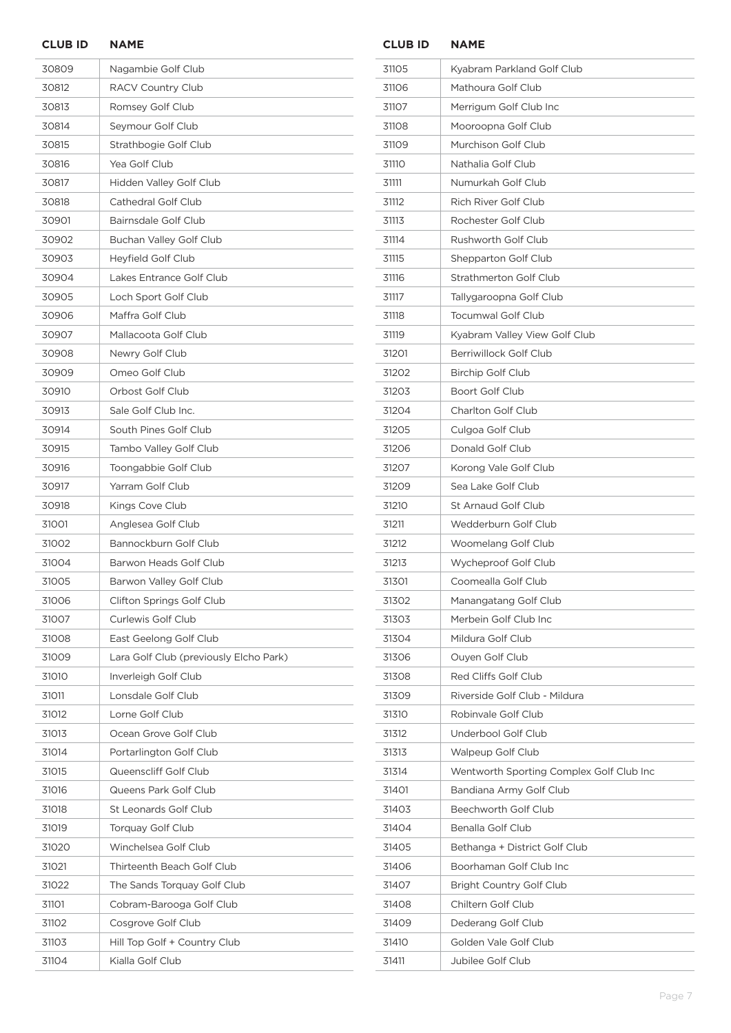| <b>CLUB ID</b> | <b>NAME</b>                            |
|----------------|----------------------------------------|
| 30809          | Nagambie Golf Club                     |
| 30812          | <b>RACV Country Club</b>               |
| 30813          | Romsey Golf Club                       |
| 30814          | Seymour Golf Club                      |
| 30815          | Strathbogie Golf Club                  |
| 30816          | Yea Golf Club                          |
| 30817          | <b>Hidden Valley Golf Club</b>         |
| 30818          | Cathedral Golf Club                    |
| 30901          | Bairnsdale Golf Club                   |
| 30902          | Buchan Valley Golf Club                |
| 30903          | <b>Heyfield Golf Club</b>              |
| 30904          | Lakes Entrance Golf Club               |
| 30905          | Loch Sport Golf Club                   |
| 30906          | Maffra Golf Club                       |
| 30907          | Mallacoota Golf Club                   |
| 30908          | Newry Golf Club                        |
| 30909          | Omeo Golf Club                         |
| 30910          | Orbost Golf Club                       |
| 30913          | Sale Golf Club Inc.                    |
| 30914          | South Pines Golf Club                  |
| 30915          | Tambo Valley Golf Club                 |
| 30916          | Toongabbie Golf Club                   |
| 30917          | Yarram Golf Club                       |
| 30918          | Kings Cove Club                        |
| 31001          | Anglesea Golf Club                     |
| 31002          | Bannockburn Golf Club                  |
| 31004          | Barwon Heads Golf Club                 |
| 31005          | Barwon Valley Golf Club                |
| 31006          | Clifton Springs Golf Club              |
| 31007          | <b>Curlewis Golf Club</b>              |
| 31008          | East Geelong Golf Club                 |
| 31009          | Lara Golf Club (previously Elcho Park) |
| 31010          | Inverleigh Golf Club                   |
| 31011          | Lonsdale Golf Club                     |
| 31012          | Lorne Golf Club                        |
| 31013          | Ocean Grove Golf Club                  |
| 31014          | Portarlington Golf Club                |
| 31015          | Queenscliff Golf Club                  |
| 31016          | Queens Park Golf Club                  |
| 31018          | St Leonards Golf Club                  |
| 31019          | <b>Torquay Golf Club</b>               |
| 31020          | Winchelsea Golf Club                   |
| 31021          | Thirteenth Beach Golf Club             |
| 31022          | The Sands Torquay Golf Club            |
| 31101          | Cobram-Barooga Golf Club               |
| 31102          | Cosgrove Golf Club                     |
| 31103          | Hill Top Golf + Country Club           |
| 31104          | Kialla Golf Club                       |

| <b>CLUB ID</b> | NAME                                            |
|----------------|-------------------------------------------------|
| 31105          | Kyabram Parkland Golf Club                      |
| 31106          | Mathoura Golf Club                              |
| 31107          | Merrigum Golf Club Inc                          |
| 31108          | Mooroopna Golf Club                             |
| 31109          | Murchison Golf Club                             |
| 31110          | Nathalia Golf Club                              |
| 31111          | Numurkah Golf Club                              |
| 31112          | <b>Rich River Golf Club</b>                     |
| 31113          | Rochester Golf Club                             |
| 31114          | Rushworth Golf Club                             |
| 31115          | Shepparton Golf Club                            |
| 31116          | <b>Strathmerton Golf Club</b>                   |
| 31117          | Tallygaroopna Golf Club                         |
| 31118          | <b>Tocumwal Golf Club</b>                       |
| 31119          | Kyabram Valley View Golf Club                   |
| 31201          | Berriwillock Golf Club                          |
| 31202          | <b>Birchip Golf Club</b>                        |
| 31203          | <b>Boort Golf Club</b>                          |
| 31204          | <b>Charlton Golf Club</b>                       |
| 31205          | Culgoa Golf Club                                |
| 31206          | Donald Golf Club                                |
| 31207          | Korong Vale Golf Club                           |
| 31209          | Sea Lake Golf Club                              |
| 31210          | <b>St Arnaud Golf Club</b>                      |
| 31211          | Wedderburn Golf Club                            |
| 31212          | Woomelang Golf Club                             |
| 31213          | Wycheproof Golf Club                            |
| 31301          | Coomealla Golf Club                             |
| 31302          | Manangatang Golf Club                           |
| 31303          | Merbein Golf Club Inc                           |
| 31304          | Mildura Golf Club                               |
| 31306          | Ouyen Golf Club                                 |
| 31308          | Red Cliffs Golf Club                            |
| 31309          | Riverside Golf Club - Mildura                   |
| 31310          | Robinvale Golf Club                             |
| 31312          | Underbool Golf Club                             |
| 31313          | Walpeup Golf Club                               |
| 31314          | Wentworth Sporting Complex Golf Club Inc        |
| 31401          | Bandiana Army Golf Club<br>Beechworth Golf Club |
| 31403<br>31404 | <b>Benalla Golf Club</b>                        |
| 31405          | Bethanga + District Golf Club                   |
|                | Boorhaman Golf Club Inc                         |
| 31406<br>31407 | <b>Bright Country Golf Club</b>                 |
| 31408          | Chiltern Golf Club                              |
| 31409          | Dederang Golf Club                              |
| 31410          | Golden Vale Golf Club                           |
| 31411          | Jubilee Golf Club                               |
|                |                                                 |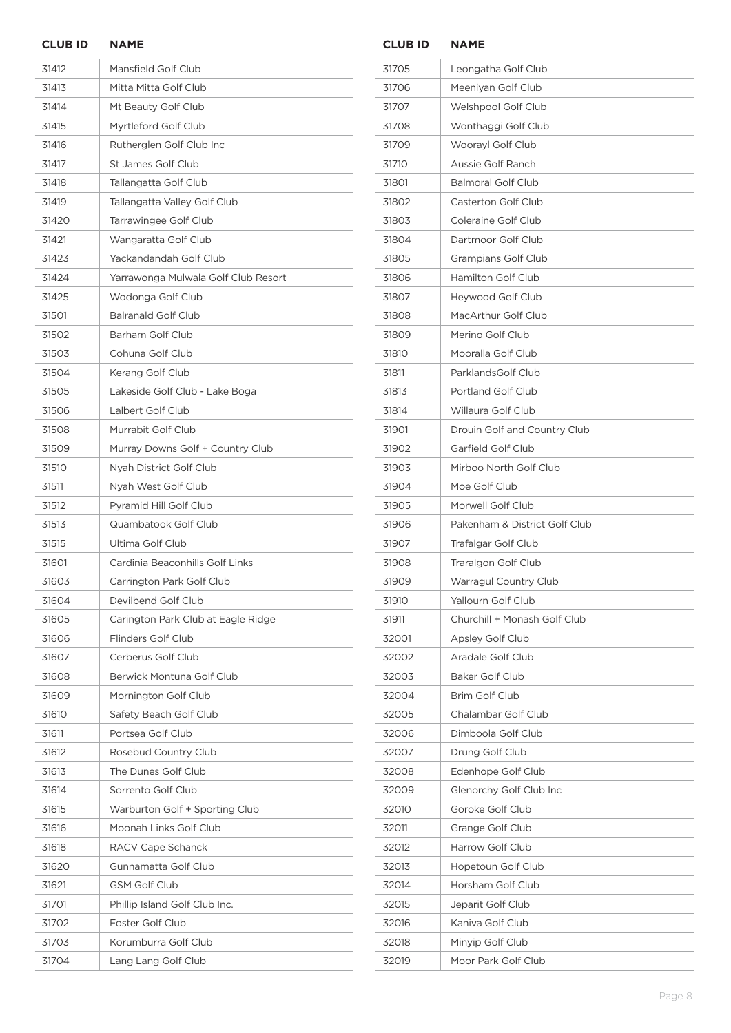| <b>CLUB ID</b> | <b>NAME</b>                         |
|----------------|-------------------------------------|
| 31412          | Mansfield Golf Club                 |
| 31413          | Mitta Mitta Golf Club               |
| 31414          | Mt Beauty Golf Club                 |
| 31415          | Myrtleford Golf Club                |
| 31416          | Rutherglen Golf Club Inc            |
| 31417          | St James Golf Club                  |
| 31418          | Tallangatta Golf Club               |
| 31419          | Tallangatta Valley Golf Club        |
| 31420          | Tarrawingee Golf Club               |
| 31421          | Wangaratta Golf Club                |
| 31423          | Yackandandah Golf Club              |
| 31424          | Yarrawonga Mulwala Golf Club Resort |
| 31425          | Wodonga Golf Club                   |
| 31501          | <b>Balranald Golf Club</b>          |
| 31502          | Barham Golf Club                    |
| 31503          | Cohuna Golf Club                    |
| 31504          | Kerang Golf Club                    |
| 31505          | Lakeside Golf Club - Lake Boga      |
| 31506          | Lalbert Golf Club                   |
| 31508          | Murrabit Golf Club                  |
| 31509          | Murray Downs Golf + Country Club    |
| 31510          | Nyah District Golf Club             |
| 31511          | Nyah West Golf Club                 |
| 31512          | Pyramid Hill Golf Club              |
| 31513          | Quambatook Golf Club                |
| 31515          | Ultima Golf Club                    |
| 31601          | Cardinia Beaconhills Golf Links     |
| 31603          | Carrington Park Golf Club           |
| 31604          | Devilbend Golf Club                 |
| 31605          | Carington Park Club at Eagle Ridge  |
| 31606          | Flinders Golf Club                  |
| 31607          | Cerberus Golf Club                  |
| 31608          | Berwick Montuna Golf Club           |
| 31609          | Mornington Golf Club                |
| 31610          | Safety Beach Golf Club              |
| 31611          | Portsea Golf Club                   |
| 31612          | Rosebud Country Club                |
| 31613          | The Dunes Golf Club                 |
| 31614          | Sorrento Golf Club                  |
| 31615          | Warburton Golf + Sporting Club      |
| 31616          | Moonah Links Golf Club              |
| 31618          | RACV Cape Schanck                   |
| 31620          | Gunnamatta Golf Club                |
| 31621          | <b>GSM Golf Club</b>                |
| 31701          | Phillip Island Golf Club Inc.       |
| 31702          | Foster Golf Club                    |
| 31703          | Korumburra Golf Club                |
| 31704          | Lang Lang Golf Club                 |

| <b>CLUB ID</b> | <b>NAME</b>                   |
|----------------|-------------------------------|
| 31705          | Leongatha Golf Club           |
| 31706          | Meeniyan Golf Club            |
| 31707          | Welshpool Golf Club           |
| 31708          | Wonthaggi Golf Club           |
| 31709          | Woorayl Golf Club             |
| 31710          | Aussie Golf Ranch             |
| 31801          | <b>Balmoral Golf Club</b>     |
| 31802          | Casterton Golf Club           |
| 31803          | Coleraine Golf Club           |
| 31804          | Dartmoor Golf Club            |
| 31805          | <b>Grampians Golf Club</b>    |
| 31806          | <b>Hamilton Golf Club</b>     |
| 31807          | Heywood Golf Club             |
| 31808          | MacArthur Golf Club           |
| 31809          | Merino Golf Club              |
| 31810          | Mooralla Golf Club            |
| 31811          | ParklandsGolf Club            |
| 31813          | <b>Portland Golf Club</b>     |
| 31814          | Willaura Golf Club            |
| 31901          | Drouin Golf and Country Club  |
| 31902          | Garfield Golf Club            |
| 31903          | Mirboo North Golf Club        |
| 31904          | Moe Golf Club                 |
| 31905          | Morwell Golf Club             |
| 31906          | Pakenham & District Golf Club |
| 31907          | Trafalgar Golf Club           |
| 31908          | Traralgon Golf Club           |
| 31909          | <b>Warragul Country Club</b>  |
| 31910          | Yallourn Golf Club            |
| 31911          | Churchill + Monash Golf Club  |
| 32001          | Apsley Golf Club              |
| 32002          | Aradale Golf Club             |
| 32003          | <b>Baker Golf Club</b>        |
| 32004          | <b>Brim Golf Club</b>         |
| 32005          | Chalambar Golf Club           |
| 32006          | Dimboola Golf Club            |
| 32007          | Drung Golf Club               |
| 32008          | Edenhope Golf Club            |
| 32009          | Glenorchy Golf Club Inc       |
| 32010          | Goroke Golf Club              |
| 32011          | Grange Golf Club              |
| 32012          | <b>Harrow Golf Club</b>       |
| 32013          | Hopetoun Golf Club            |
| 32014          | Horsham Golf Club             |
| 32015          | Jeparit Golf Club             |
| 32016          | Kaniva Golf Club              |
| 32018          | Minyip Golf Club              |
| 32019          | Moor Park Golf Club           |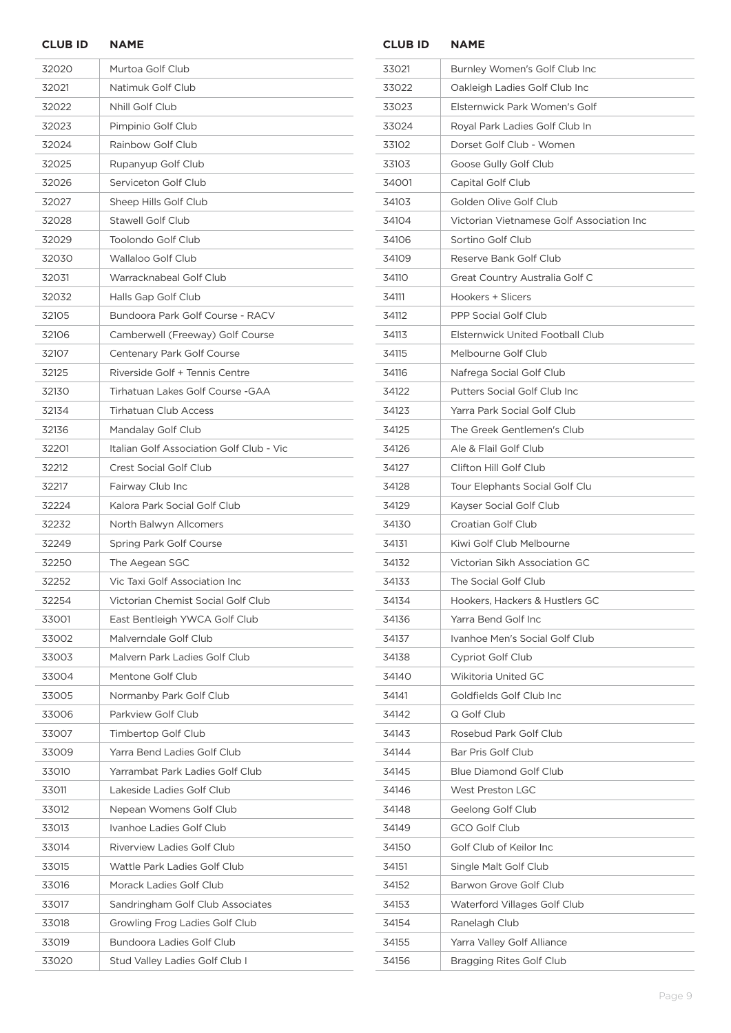| <b>CLUB ID</b> | <b>NAME</b>                              |
|----------------|------------------------------------------|
| 32020          | Murtoa Golf Club                         |
| 32021          | Natimuk Golf Club                        |
| 32022          | Nhill Golf Club                          |
| 32023          | Pimpinio Golf Club                       |
| 32024          | Rainbow Golf Club                        |
| 32025          | Rupanyup Golf Club                       |
| 32026          | Serviceton Golf Club                     |
| 32027          | Sheep Hills Golf Club                    |
| 32028          | <b>Stawell Golf Club</b>                 |
| 32029          | <b>Toolondo Golf Club</b>                |
| 32030          | <b>Wallaloo Golf Club</b>                |
| 32031          | Warracknabeal Golf Club                  |
| 32032          | Halls Gap Golf Club                      |
| 32105          | Bundoora Park Golf Course - RACV         |
| 32106          | Camberwell (Freeway) Golf Course         |
| 32107          | Centenary Park Golf Course               |
| 32125          | Riverside Golf + Tennis Centre           |
| 32130          | Tirhatuan Lakes Golf Course - GAA        |
| 32134          | <b>Tirhatuan Club Access</b>             |
| 32136          | Mandalay Golf Club                       |
| 32201          | Italian Golf Association Golf Club - Vic |
| 32212          | <b>Crest Social Golf Club</b>            |
| 32217          | Fairway Club Inc                         |
| 32224          | Kalora Park Social Golf Club             |
| 32232          | North Balwyn Allcomers                   |
| 32249          | Spring Park Golf Course                  |
| 32250          | The Aegean SGC                           |
| 32252          | Vic Taxi Golf Association Inc            |
| 32254          | Victorian Chemist Social Golf Club       |
| 33001          | East Bentleigh YWCA Golf Club            |
| 33002          | Malverndale Golf Club                    |
| 33003          | Malvern Park Ladies Golf Club            |
| 33004          | Mentone Golf Club                        |
| 33005          | Normanby Park Golf Club                  |
| 33006          | Parkview Golf Club                       |
| 33007          | Timbertop Golf Club                      |
| 33009          | Yarra Bend Ladies Golf Club              |
| 33010          | Yarrambat Park Ladies Golf Club          |
| 33011          | Lakeside Ladies Golf Club                |
| 33012          | Nepean Womens Golf Club                  |
| 33013          | Ivanhoe Ladies Golf Club                 |
| 33014          | <b>Riverview Ladies Golf Club</b>        |
| 33015          | Wattle Park Ladies Golf Club             |
| 33016          | <b>Morack Ladies Golf Club</b>           |
| 33017          | Sandringham Golf Club Associates         |
| 33018          | Growling Frog Ladies Golf Club           |
| 33019          | <b>Bundoora Ladies Golf Club</b>         |
| 33020          | Stud Valley Ladies Golf Club I           |

| <b>CLUB ID</b> | <b>NAME</b>                               |
|----------------|-------------------------------------------|
| 33021          | Burnley Women's Golf Club Inc             |
| 33022          | Oakleigh Ladies Golf Club Inc             |
| 33023          | Elsternwick Park Women's Golf             |
| 33024          | Royal Park Ladies Golf Club In            |
| 33102          | Dorset Golf Club - Women                  |
| 33103          | Goose Gully Golf Club                     |
| 34001          | Capital Golf Club                         |
| 34103          | Golden Olive Golf Club                    |
| 34104          | Victorian Vietnamese Golf Association Inc |
| 34106          | Sortino Golf Club                         |
| 34109          | Reserve Bank Golf Club                    |
| 34110          | Great Country Australia Golf C            |
| 34111          | Hookers + Slicers                         |
| 34112          | PPP Social Golf Club                      |
| 34113          | <b>Elsternwick United Football Club</b>   |
| 34115          | Melbourne Golf Club                       |
| 34116          | Nafrega Social Golf Club                  |
| 34122          | Putters Social Golf Club Inc.             |
| 34123          | Yarra Park Social Golf Club               |
| 34125          | The Greek Gentlemen's Club                |
| 34126          | Ale & Flail Golf Club                     |
| 34127          | Clifton Hill Golf Club                    |
| 34128          | <b>Tour Elephants Social Golf Clu</b>     |
| 34129          | Kayser Social Golf Club                   |
| 34130          | Croatian Golf Club                        |
| 34131          | Kiwi Golf Club Melbourne                  |
| 34132          | Victorian Sikh Association GC             |
| 34133          | The Social Golf Club                      |
| 34134          | Hookers, Hackers & Hustlers GC            |
| 34136          | Yarra Bend Golf Inc                       |
| 34137          | Ivanhoe Men's Social Golf Club            |
| 34138          | <b>Cypriot Golf Club</b>                  |
| 34140          | Wikitoria United GC                       |
| 34141          | Goldfields Golf Club Inc                  |
| 34142          | Q Golf Club                               |
| 34143          | Rosebud Park Golf Club                    |
| 34144          | <b>Bar Pris Golf Club</b>                 |
| 34145          | <b>Blue Diamond Golf Club</b>             |
| 34146          | <b>West Preston LGC</b>                   |
| 34148          | Geelong Golf Club                         |
| 34149          | <b>GCO Golf Club</b>                      |
| 34150          | Golf Club of Keilor Inc                   |
| 34151          | Single Malt Golf Club                     |
| 34152          | Barwon Grove Golf Club                    |
| 34153          | Waterford Villages Golf Club              |
| 34154          | Ranelagh Club                             |
| 34155          | Yarra Valley Golf Alliance                |
| 34156          | <b>Bragging Rites Golf Club</b>           |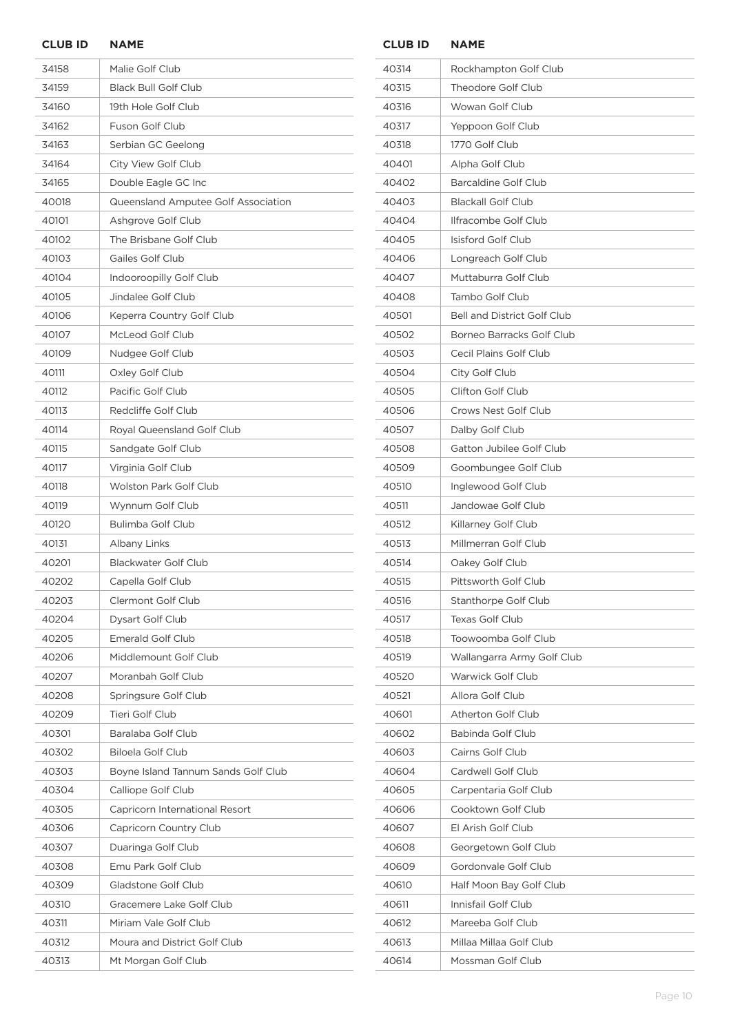| <b>CLUB ID</b> | NAME                                |
|----------------|-------------------------------------|
| 34158          | Malie Golf Club                     |
| 34159          | <b>Black Bull Golf Club</b>         |
| 34160          | 19th Hole Golf Club                 |
| 34162          | <b>Fuson Golf Club</b>              |
| 34163          | Serbian GC Geelong                  |
| 34164          | City View Golf Club                 |
| 34165          | Double Eagle GC Inc                 |
| 40018          | Queensland Amputee Golf Association |
| 40101          | Ashgrove Golf Club                  |
| 40102          | The Brisbane Golf Club              |
| 40103          | Gailes Golf Club                    |
| 40104          | Indooroopilly Golf Club             |
| 40105          | Jindalee Golf Club                  |
| 40106          | Keperra Country Golf Club           |
| 40107          | McLeod Golf Club                    |
| 40109          | Nudgee Golf Club                    |
| 40111          | Oxley Golf Club                     |
| 40112          | Pacific Golf Club                   |
| 40113          | Redcliffe Golf Club                 |
| 40114          | Royal Queensland Golf Club          |
| 40115          | Sandgate Golf Club                  |
| 40117          | Virginia Golf Club                  |
| 40118          | <b>Wolston Park Golf Club</b>       |
| 40119          | Wynnum Golf Club                    |
| 40120          | Bulimba Golf Club                   |
| 40131          | Albany Links                        |
| 40201          | <b>Blackwater Golf Club</b>         |
| 40202          | Capella Golf Club                   |
| 40203          | Clermont Golf Club                  |
| 40204          | <b>Dysart Golf Club</b>             |
| 40205          | Emerald Golf Club                   |
| 40206          | Middlemount Golf Club               |
| 40207          | Moranbah Golf Club                  |
| 40208          | Springsure Golf Club                |
| 40209          | Tieri Golf Club                     |
| 40301          | Baralaba Golf Club                  |
| 40302          | <b>Biloela Golf Club</b>            |
| 40303          | Boyne Island Tannum Sands Golf Club |
| 40304          | Calliope Golf Club                  |
| 40305          | Capricorn International Resort      |
| 40306          | Capricorn Country Club              |
| 40307          | Duaringa Golf Club                  |
| 40308          | Emu Park Golf Club                  |
| 40309          | Gladstone Golf Club                 |
| 40310          | Gracemere Lake Golf Club            |
| 40311          | Miriam Vale Golf Club               |
| 40312          | Moura and District Golf Club        |
| 40313          | Mt Morgan Golf Club                 |

| <b>CLUB ID</b> | <b>NAME</b>                        |
|----------------|------------------------------------|
| 40314          | Rockhampton Golf Club              |
| 40315          | Theodore Golf Club                 |
| 40316          | Wowan Golf Club                    |
| 40317          | Yeppoon Golf Club                  |
| 40318          | 1770 Golf Club                     |
| 40401          | Alpha Golf Club                    |
| 40402          | <b>Barcaldine Golf Club</b>        |
| 40403          | <b>Blackall Golf Club</b>          |
| 40404          | Ilfracombe Golf Club               |
| 40405          | Isisford Golf Club                 |
| 40406          | Longreach Golf Club                |
| 40407          | Muttaburra Golf Club               |
| 40408          | <b>Tambo Golf Club</b>             |
| 40501          | <b>Bell and District Golf Club</b> |
| 40502          | Borneo Barracks Golf Club          |
| 40503          | Cecil Plains Golf Club             |
| 40504          | City Golf Club                     |
| 40505          | Clifton Golf Club                  |
| 40506          | Crows Nest Golf Club               |
| 40507          | Dalby Golf Club                    |
| 40508          | <b>Gatton Jubilee Golf Club</b>    |
| 40509          | Goombungee Golf Club               |
| 40510          | Inglewood Golf Club                |
| 40511          | Jandowae Golf Club                 |
| 40512          | Killarney Golf Club                |
| 40513          | Millmerran Golf Club               |
| 40514          | Oakey Golf Club                    |
| 40515          | Pittsworth Golf Club               |
| 40516          | Stanthorpe Golf Club               |
| 40517          | <b>Texas Golf Club</b>             |
| 40518          | Toowoomba Golf Club                |
| 40519          | Wallangarra Army Golf Club         |
| 40520          | Warwick Golf Club                  |
| 40521          | Allora Golf Club                   |
| 40601          | <b>Atherton Golf Club</b>          |
| 40602          | <b>Babinda Golf Club</b>           |
| 40603          | Cairns Golf Club                   |
| 40604          | Cardwell Golf Club                 |
| 40605          | Carpentaria Golf Club              |
| 40606          | Cooktown Golf Club                 |
| 40607          | El Arish Golf Club                 |
| 40608          | Georgetown Golf Club               |
| 40609          | Gordonvale Golf Club               |
| 40610          | Half Moon Bay Golf Club            |
| 40611          | Innisfail Golf Club                |
| 40612          | Mareeba Golf Club                  |
| 40613          | Millaa Millaa Golf Club            |
| 40614          | Mossman Golf Club                  |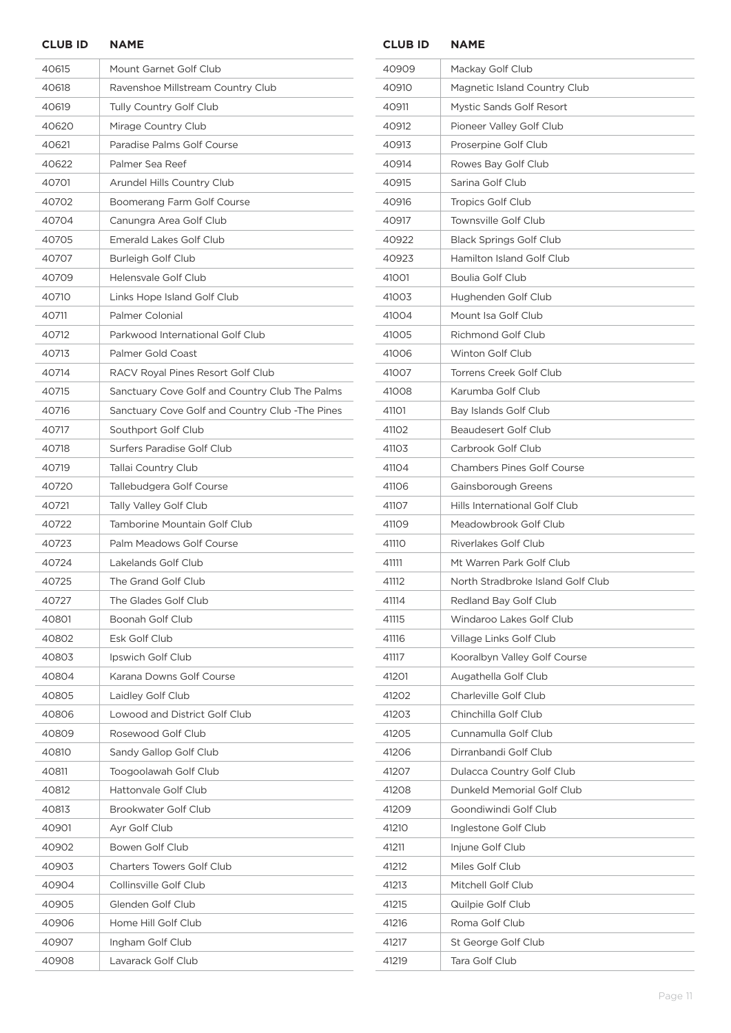| <b>CLUB ID</b> | <b>NAME</b>                                     |
|----------------|-------------------------------------------------|
| 40615          | Mount Garnet Golf Club                          |
| 40618          | Ravenshoe Millstream Country Club               |
| 40619          | <b>Tully Country Golf Club</b>                  |
| 40620          | Mirage Country Club                             |
| 40621          | Paradise Palms Golf Course                      |
| 40622          | Palmer Sea Reef                                 |
| 40701          | Arundel Hills Country Club                      |
| 40702          | Boomerang Farm Golf Course                      |
| 40704          | Canungra Area Golf Club                         |
| 40705          | Emerald Lakes Golf Club                         |
| 40707          | <b>Burleigh Golf Club</b>                       |
| 40709          | Helensvale Golf Club                            |
| 40710          | Links Hope Island Golf Club                     |
| 40711          | Palmer Colonial                                 |
| 40712          | Parkwood International Golf Club                |
| 40713          | Palmer Gold Coast                               |
| 40714          | RACV Royal Pines Resort Golf Club               |
| 40715          | Sanctuary Cove Golf and Country Club The Palms  |
| 40716          | Sanctuary Cove Golf and Country Club -The Pines |
| 40717          | Southport Golf Club                             |
| 40718          | Surfers Paradise Golf Club                      |
| 40719          | Tallai Country Club                             |
| 40720          | Tallebudgera Golf Course                        |
| 40721          | Tally Valley Golf Club                          |
| 40722          | Tamborine Mountain Golf Club                    |
| 40723          | Palm Meadows Golf Course                        |
| 40724          | Lakelands Golf Club                             |
| 40725          | The Grand Golf Club                             |
| 40727          | The Glades Golf Club                            |
| 40801          | Boonah Golf Club                                |
| 40802          | Esk Golf Club                                   |
| 40803          | Ipswich Golf Club                               |
| 40804          | Karana Downs Golf Course                        |
| 40805          | Laidley Golf Club                               |
| 40806          | Lowood and District Golf Club                   |
| 40809          | Rosewood Golf Club                              |
| 40810          | Sandy Gallop Golf Club                          |
| 40811          | Toogoolawah Golf Club                           |
| 40812          | <b>Hattonvale Golf Club</b>                     |
| 40813          | <b>Brookwater Golf Club</b>                     |
| 40901          | Ayr Golf Club                                   |
| 40902          | Bowen Golf Club                                 |
| 40903          | <b>Charters Towers Golf Club</b>                |
| 40904          | Collinsville Golf Club                          |
| 40905          | Glenden Golf Club                               |
| 40906          | Home Hill Golf Club                             |
| 40907          | Ingham Golf Club                                |
| 40908          | Lavarack Golf Club                              |

| <b>CLUB ID</b> | <b>NAME</b>                       |
|----------------|-----------------------------------|
| 40909          | Mackay Golf Club                  |
| 40910          | Magnetic Island Country Club      |
| 40911          | <b>Mystic Sands Golf Resort</b>   |
| 40912          | Pioneer Valley Golf Club          |
| 40913          | Proserpine Golf Club              |
| 40914          | Rowes Bay Golf Club               |
| 40915          | Sarina Golf Club                  |
| 40916          | <b>Tropics Golf Club</b>          |
| 40917          | Townsville Golf Club              |
| 40922          | <b>Black Springs Golf Club</b>    |
| 40923          | <b>Hamilton Island Golf Club</b>  |
| 41001          | <b>Boulia Golf Club</b>           |
| 41003          | Hughenden Golf Club               |
| 41004          | Mount Isa Golf Club               |
| 41005          | <b>Richmond Golf Club</b>         |
| 41006          | Winton Golf Club                  |
| 41007          | Torrens Creek Golf Club           |
| 41008          | Karumba Golf Club                 |
| 41101          | Bay Islands Golf Club             |
| 41102          | <b>Beaudesert Golf Club</b>       |
| 41103          | Carbrook Golf Club                |
| 41104          | <b>Chambers Pines Golf Course</b> |
| 41106          | Gainsborough Greens               |
| 41107          | Hills International Golf Club     |
| 41109          | Meadowbrook Golf Club             |
| 41110          | Riverlakes Golf Club              |
| 41111          | Mt Warren Park Golf Club          |
| 41112          | North Stradbroke Island Golf Club |
| 41114          | Redland Bay Golf Club             |
| 41115          | Windaroo Lakes Golf Club          |
| 41116          | Village Links Golf Club           |
| 41117          | Kooralbyn Valley Golf Course      |
| 41201          | Augathella Golf Club              |
| 41202          | Charleville Golf Club             |
| 41203          | Chinchilla Golf Club              |
| 41205          | Cunnamulla Golf Club              |
| 41206          | Dirranbandi Golf Club             |
| 41207          | Dulacca Country Golf Club         |
| 41208          | Dunkeld Memorial Golf Club        |
| 41209          | Goondiwindi Golf Club             |
| 41210          | Inglestone Golf Club              |
| 41211          | Injune Golf Club                  |
| 41212          | Miles Golf Club                   |
| 41213          | Mitchell Golf Club                |
| 41215          | Quilpie Golf Club                 |
| 41216          | Roma Golf Club                    |
| 41217          | St George Golf Club               |
| 41219          | Tara Golf Club                    |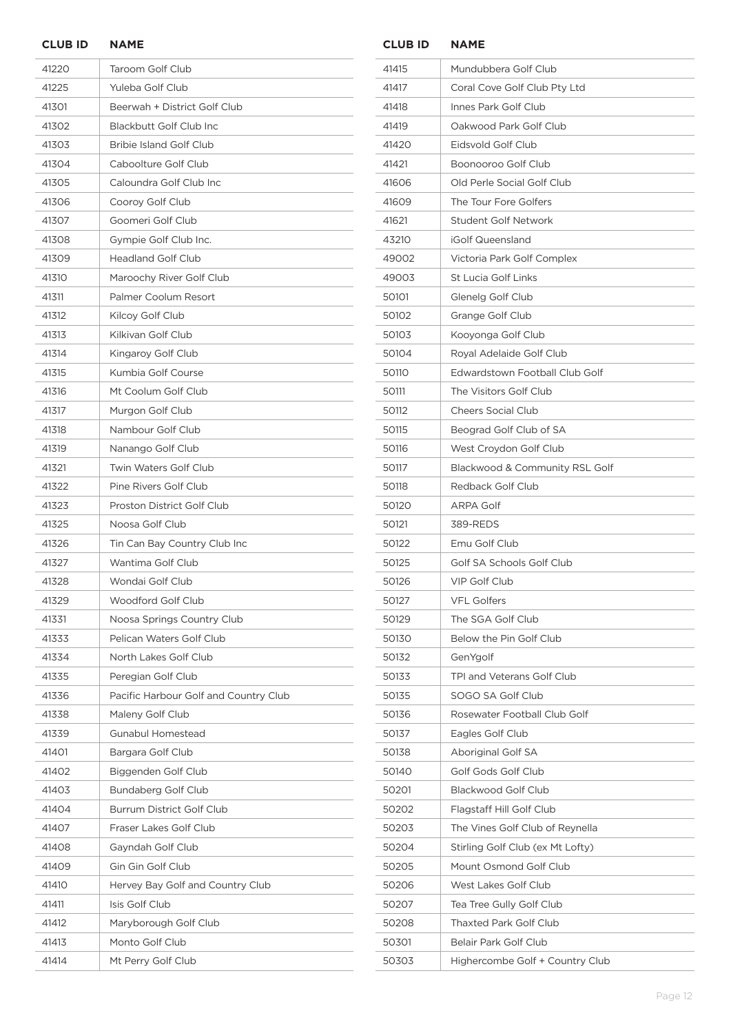| <b>CLUB ID</b> | <b>NAME</b>                                                 |
|----------------|-------------------------------------------------------------|
| 41220          | Taroom Golf Club                                            |
| 41225          | Yuleba Golf Club                                            |
| 41301          | Beerwah + District Golf Club                                |
| 41302          | <b>Blackbutt Golf Club Inc</b>                              |
| 41303          | <b>Bribie Island Golf Club</b>                              |
| 41304          | Caboolture Golf Club                                        |
| 41305          | Caloundra Golf Club Inc                                     |
| 41306          | Cooroy Golf Club                                            |
| 41307          | Goomeri Golf Club                                           |
| 41308          | Gympie Golf Club Inc.                                       |
| 41309          | <b>Headland Golf Club</b>                                   |
| 41310          | Maroochy River Golf Club                                    |
| 41311          | Palmer Coolum Resort                                        |
| 41312          | Kilcoy Golf Club                                            |
| 41313          | Kilkivan Golf Club                                          |
| 41314          | Kingaroy Golf Club                                          |
| 41315          | Kumbia Golf Course                                          |
| 41316          | Mt Coolum Golf Club                                         |
| 41317          | Murgon Golf Club                                            |
| 41318          | Nambour Golf Club                                           |
| 41319          | Nanango Golf Club                                           |
| 41321          | <b>Twin Waters Golf Club</b>                                |
| 41322          | Pine Rivers Golf Club                                       |
| 41323          | <b>Proston District Golf Club</b>                           |
| 41325          | Noosa Golf Club                                             |
| 41326          | Tin Can Bay Country Club Inc                                |
| 41327          | Wantima Golf Club                                           |
| 41328          | Wondai Golf Club                                            |
| 41329          | Woodford Golf Club                                          |
| 41331          | Noosa Springs Country Club                                  |
| 41333          | Pelican Waters Golf Club<br>North Lakes Golf Club           |
| 41334          |                                                             |
| 41335<br>41336 | Peregian Golf Club<br>Pacific Harbour Golf and Country Club |
| 41338          | Maleny Golf Club                                            |
| 41339          | <b>Gunabul Homestead</b>                                    |
| 41401          | Bargara Golf Club                                           |
| 41402          | Biggenden Golf Club                                         |
| 41403          | <b>Bundaberg Golf Club</b>                                  |
| 41404          | Burrum District Golf Club                                   |
| 41407          | Fraser Lakes Golf Club                                      |
| 41408          | Gayndah Golf Club                                           |
| 41409          | Gin Gin Golf Club                                           |
| 41410          | Hervey Bay Golf and Country Club                            |
| 41411          | Isis Golf Club                                              |
| 41412          | Maryborough Golf Club                                       |
| 41413          | Monto Golf Club                                             |
| 41414          | Mt Perry Golf Club                                          |
|                |                                                             |

| CLUB ID | <b>NAME</b>                      |
|---------|----------------------------------|
| 41415   | Mundubbera Golf Club             |
| 41417   | Coral Cove Golf Club Pty Ltd     |
| 41418   | Innes Park Golf Club             |
| 41419   | Oakwood Park Golf Club           |
| 41420   | Eidsvold Golf Club               |
| 41421   | Boonooroo Golf Club              |
| 41606   | Old Perle Social Golf Club       |
| 41609   | The Tour Fore Golfers            |
| 41621   | <b>Student Golf Network</b>      |
| 43210   | <b>iGolf Queensland</b>          |
| 49002   | Victoria Park Golf Complex       |
| 49003   | St Lucia Golf Links              |
| 50101   | Glenelg Golf Club                |
| 50102   | <b>Grange Golf Club</b>          |
| 50103   | Kooyonga Golf Club               |
| 50104   | Roval Adelaide Golf Club         |
| 50110   | Edwardstown Football Club Golf   |
| 50111   | The Visitors Golf Club           |
| 50112   | <b>Cheers Social Club</b>        |
| 50115   | Beograd Golf Club of SA          |
| 50116   | West Croydon Golf Club           |
| 50117   | Blackwood & Community RSL Golf   |
| 50118   | <b>Redback Golf Club</b>         |
| 50120   | <b>ARPA Golf</b>                 |
| 50121   | 389-REDS                         |
| 50122   | Emu Golf Club                    |
| 50125   | Golf SA Schools Golf Club        |
| 50126   | <b>VIP Golf Club</b>             |
| 50127   | <b>VFL Golfers</b>               |
| 50129   | The SGA Golf Club                |
| 50130   | Below the Pin Golf Club          |
| 50132   | GenYgolf                         |
| 50133   | TPI and Veterans Golf Club       |
| 50135   | SOGO SA Golf Club                |
| 50136   | Rosewater Football Club Golf     |
| 50137   | Eagles Golf Club                 |
| 50138   | Aboriginal Golf SA               |
| 50140   | Golf Gods Golf Club              |
| 50201   | <b>Blackwood Golf Club</b>       |
| 50202   | Flagstaff Hill Golf Club         |
| 50203   | The Vines Golf Club of Reynella  |
| 50204   | Stirling Golf Club (ex Mt Lofty) |
| 50205   | Mount Osmond Golf Club           |
| 50206   | West Lakes Golf Club             |
| 50207   | Tea Tree Gully Golf Club         |
| 50208   | <b>Thaxted Park Golf Club</b>    |
| 50301   | Belair Park Golf Club            |
| 50303   | Highercombe Golf + Country Club  |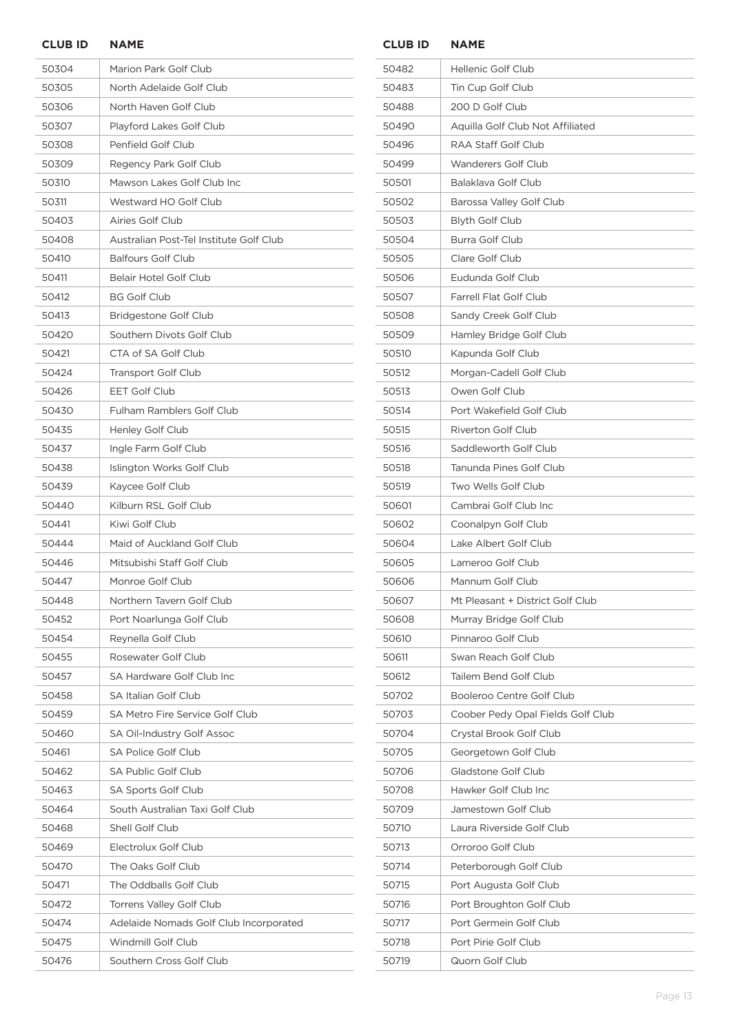| <b>CLUB ID</b> | <b>NAME</b>                             |
|----------------|-----------------------------------------|
| 50304          | Marion Park Golf Club                   |
| 50305          | North Adelaide Golf Club                |
| 50306          | North Haven Golf Club                   |
| 50307          | Playford Lakes Golf Club                |
| 50308          | Penfield Golf Club                      |
| 50309          | Regency Park Golf Club                  |
| 50310          | Mawson Lakes Golf Club Inc              |
| 50311          | Westward HO Golf Club                   |
| 50403          | Airies Golf Club                        |
| 50408          | Australian Post-Tel Institute Golf Club |
| 50410          | <b>Balfours Golf Club</b>               |
| 50411          | Belair Hotel Golf Club                  |
| 50412          | <b>BG Golf Club</b>                     |
| 50413          | <b>Bridgestone Golf Club</b>            |
| 50420          | Southern Divots Golf Club               |
| 50421          | CTA of SA Golf Club                     |
| 50424          | <b>Transport Golf Club</b>              |
| 50426          | <b>EET Golf Club</b>                    |
| 50430          | <b>Fulham Ramblers Golf Club</b>        |
| 50435          | Henley Golf Club                        |
| 50437          | Ingle Farm Golf Club                    |
| 50438          | Islington Works Golf Club               |
| 50439          | Kaycee Golf Club                        |
| 50440          | Kilburn RSL Golf Club                   |
| 50441          | Kiwi Golf Club                          |
| 50444          | Maid of Auckland Golf Club              |
| 50446          | Mitsubishi Staff Golf Club              |
| 50447          | Monroe Golf Club                        |
| 50448          | Northern Tavern Golf Club               |
| 50452          | Port Noarlunga Golf Club                |
| 50454          | Reynella Golf Club                      |
| 50455          | Rosewater Golf Club                     |
| 50457          | SA Hardware Golf Club Inc               |
| 50458          | SA Italian Golf Club                    |
| 50459          | SA Metro Fire Service Golf Club         |
| 50460          | <b>SA Oil-Industry Golf Assoc</b>       |
| 50461          | SA Police Golf Club                     |
| 50462          | <b>SA Public Golf Club</b>              |
| 50463          | <b>SA Sports Golf Club</b>              |
| 50464          | South Australian Taxi Golf Club         |
| 50468          | Shell Golf Club                         |
| 50469          | Electrolux Golf Club                    |
| 50470          | The Oaks Golf Club                      |
| 50471          | The Oddballs Golf Club                  |
| 50472          | <b>Torrens Valley Golf Club</b>         |
| 50474          | Adelaide Nomads Golf Club Incorporated  |
| 50475          | Windmill Golf Club                      |
| 50476          | Southern Cross Golf Club                |

| <b>CLUB ID</b> | <b>NAME</b>                       |
|----------------|-----------------------------------|
| 50482          | <b>Hellenic Golf Club</b>         |
| 50483          | Tin Cup Golf Club                 |
| 50488          | 200 D Golf Club                   |
| 50490          | Aquilla Golf Club Not Affiliated  |
| 50496          | RAA Staff Golf Club               |
| 50499          | <b>Wanderers Golf Club</b>        |
| 50501          | Balaklava Golf Club               |
| 50502          | Barossa Valley Golf Club          |
| 50503          | <b>Blyth Golf Club</b>            |
| 50504          | <b>Burra Golf Club</b>            |
| 50505          | Clare Golf Club                   |
| 50506          | Eudunda Golf Club                 |
| 50507          | <b>Farrell Flat Golf Club</b>     |
| 50508          | Sandy Creek Golf Club             |
| 50509          | Hamley Bridge Golf Club           |
| 50510          | Kapunda Golf Club                 |
| 50512          | Morgan-Cadell Golf Club           |
| 50513          | Owen Golf Club                    |
| 50514          | Port Wakefield Golf Club          |
| 50515          | <b>Riverton Golf Club</b>         |
| 50516          | Saddleworth Golf Club             |
| 50518          | Tanunda Pines Golf Club           |
| 50519          | Two Wells Golf Club               |
| 50601          | Cambrai Golf Club Inc             |
| 50602          | Coonalpyn Golf Club               |
| 50604          | Lake Albert Golf Club             |
| 50605          | Lameroo Golf Club                 |
| 50606          | Mannum Golf Club                  |
| 50607          | Mt Pleasant + District Golf Club  |
| 50608          | Murray Bridge Golf Club           |
| 50610          | Pinnaroo Golf Club                |
| 50611          | Swan Reach Golf Club              |
| 50612          | Tailem Bend Golf Club             |
| 50702          | Booleroo Centre Golf Club         |
| 50703          | Coober Pedy Opal Fields Golf Club |
| 50704          | Crystal Brook Golf Club           |
| 50705          | Georgetown Golf Club              |
| 50706          | Gladstone Golf Club               |
| 50708          | Hawker Golf Club Inc              |
| 50709          | Jamestown Golf Club               |
| 50710          | Laura Riverside Golf Club         |
| 50713          | Orroroo Golf Club                 |
| 50714          | Peterborough Golf Club            |
| 50715          | Port Augusta Golf Club            |
| 50716          | Port Broughton Golf Club          |
| 50717          | Port Germein Golf Club            |
| 50718          | Port Pirie Golf Club              |
| 50719          | Quorn Golf Club                   |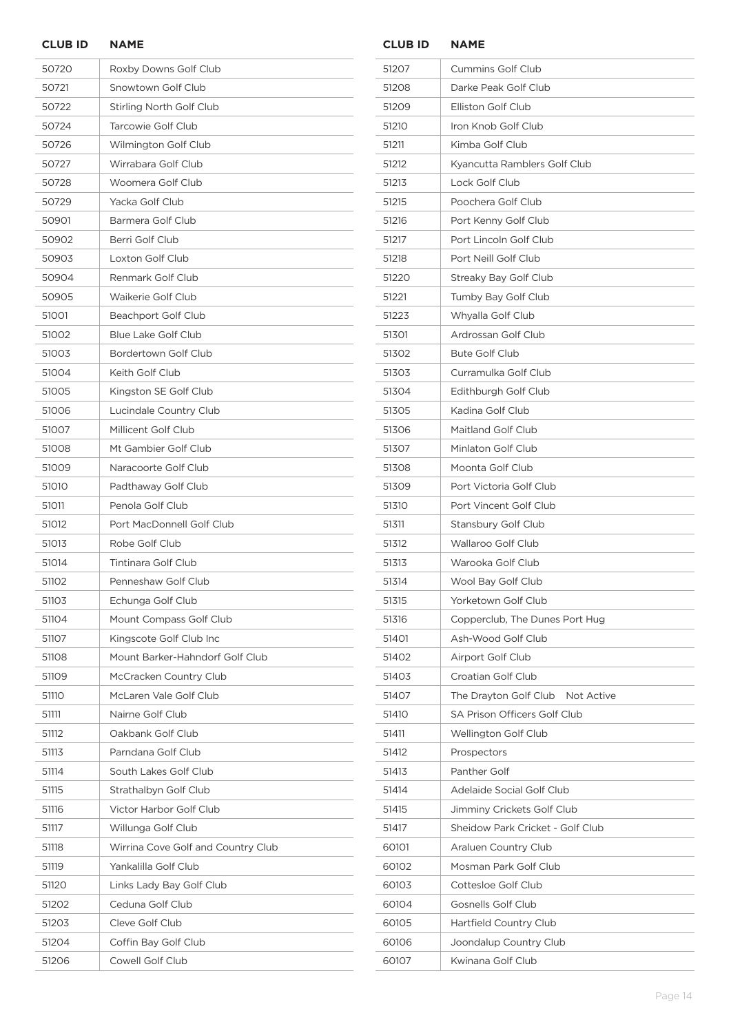| <b>CLUB ID</b> | <b>NAME</b>                        |
|----------------|------------------------------------|
| 50720          | Roxby Downs Golf Club              |
| 50721          | Snowtown Golf Club                 |
| 50722          | <b>Stirling North Golf Club</b>    |
| 50724          | <b>Tarcowie Golf Club</b>          |
| 50726          | Wilmington Golf Club               |
| 50727          | Wirrabara Golf Club                |
| 50728          | Woomera Golf Club                  |
| 50729          | Yacka Golf Club                    |
| 50901          | Barmera Golf Club                  |
| 50902          | Berri Golf Club                    |
| 50903          | Loxton Golf Club                   |
| 50904          | Renmark Golf Club                  |
| 50905          | Waikerie Golf Club                 |
| 51001          | Beachport Golf Club                |
| 51002          | <b>Blue Lake Golf Club</b>         |
| 51003          | Bordertown Golf Club               |
| 51004          | Keith Golf Club                    |
| 51005          | Kingston SE Golf Club              |
| 51006          | Lucindale Country Club             |
| 51007          | Millicent Golf Club                |
| 51008          | Mt Gambier Golf Club               |
| 51009          | Naracoorte Golf Club               |
| 51010          | Padthaway Golf Club                |
| 51011          | Penola Golf Club                   |
| 51012          | Port MacDonnell Golf Club          |
| 51013          | Robe Golf Club                     |
| 51014          | Tintinara Golf Club                |
| 51102          | Penneshaw Golf Club                |
| 51103          | Echunga Golf Club                  |
| 51104          | Mount Compass Golf Club            |
| 51107          | Kingscote Golf Club Inc            |
| 51108          | Mount Barker-Hahndorf Golf Club    |
| 51109          | McCracken Country Club             |
| 51110          | McLaren Vale Golf Club             |
| 51111          | Nairne Golf Club                   |
| 51112          | Oakbank Golf Club                  |
| 51113          | Parndana Golf Club                 |
| 51114          | South Lakes Golf Club              |
| 51115          | Strathalbyn Golf Club              |
| 51116          | Victor Harbor Golf Club            |
| 51117          | Willunga Golf Club                 |
| 51118          | Wirrina Cove Golf and Country Club |
| 51119          | Yankalilla Golf Club               |
| 51120          | Links Lady Bay Golf Club           |
| 51202          | Ceduna Golf Club                   |
| 51203          | Cleve Golf Club                    |
| 51204          | Coffin Bay Golf Club               |
| 51206          | Cowell Golf Club                   |

| <b>CLUB ID</b> | <b>NAME</b>                      |
|----------------|----------------------------------|
| 51207          | <b>Cummins Golf Club</b>         |
| 51208          | Darke Peak Golf Club             |
| 51209          | Elliston Golf Club               |
| 51210          | Iron Knob Golf Club              |
| 51211          | Kimba Golf Club                  |
| 51212          | Kyancutta Ramblers Golf Club     |
| 51213          | Lock Golf Club                   |
| 51215          | Poochera Golf Club               |
| 51216          | Port Kenny Golf Club             |
| 51217          | Port Lincoln Golf Club           |
| 51218          | Port Neill Golf Club             |
| 51220          | Streaky Bay Golf Club            |
| 51221          | Tumby Bay Golf Club              |
| 51223          | Whyalla Golf Club                |
| 51301          | Ardrossan Golf Club              |
| 51302          | <b>Bute Golf Club</b>            |
| 51303          | Curramulka Golf Club             |
| 51304          | Edithburgh Golf Club             |
| 51305          | Kadina Golf Club                 |
| 51306          | Maitland Golf Club               |
| 51307          | Minlaton Golf Club               |
| 51308          | Moonta Golf Club                 |
| 51309          | Port Victoria Golf Club          |
| 51310          | Port Vincent Golf Club           |
| 51311          | <b>Stansbury Golf Club</b>       |
| 51312          | <b>Wallaroo Golf Club</b>        |
| 51313          | Warooka Golf Club                |
| 51314          | Wool Bay Golf Club               |
| 51315          | Yorketown Golf Club              |
| 51316          | Copperclub, The Dunes Port Hug   |
| 51401          | Ash-Wood Golf Club               |
| 51402          | Airport Golf Club                |
| 51403          | <b>Croatian Golf Club</b>        |
| 51407          | The Drayton Golf Club Not Active |
| 51410          | SA Prison Officers Golf Club     |
| 51411          | Wellington Golf Club             |
| 51412          | Prospectors                      |
| 51413          | Panther Golf                     |
| 51414          | Adelaide Social Golf Club        |
| 51415          | Jimminy Crickets Golf Club       |
| 51417          | Sheidow Park Cricket - Golf Club |
| 60101          | Araluen Country Club             |
| 60102          | Mosman Park Golf Club            |
| 60103          | Cottesloe Golf Club              |
| 60104          | <b>Gosnells Golf Club</b>        |
| 60105          | Hartfield Country Club           |
| 60106          | Joondalup Country Club           |
| 60107          | Kwinana Golf Club                |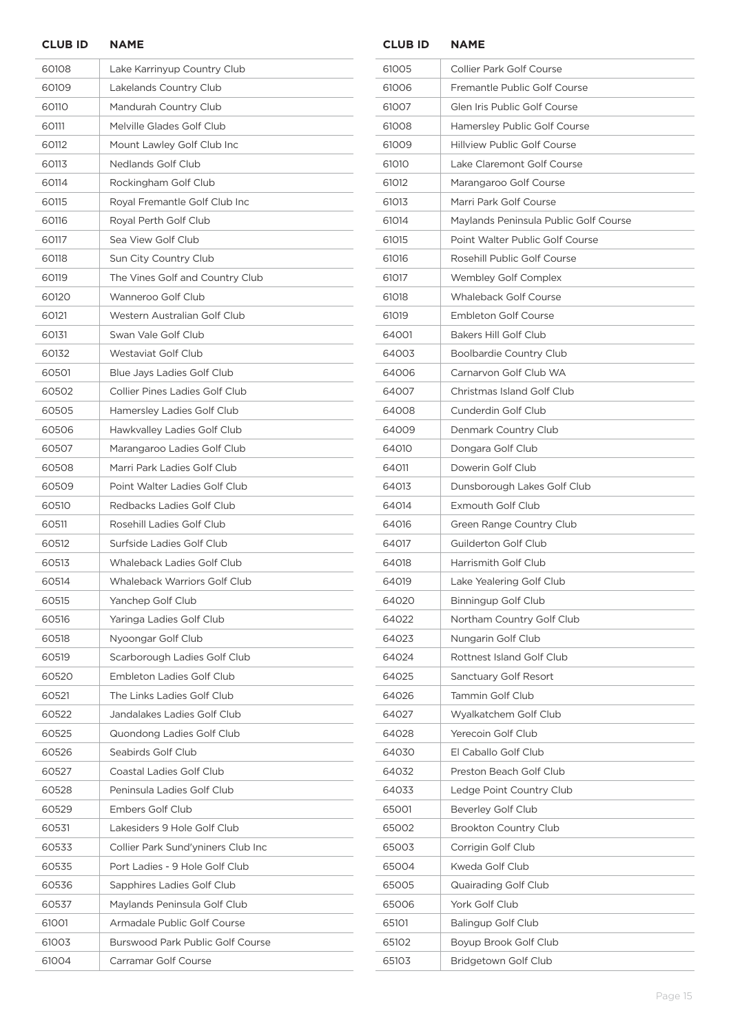| <b>CLUB ID</b> | <b>NAME</b>                             |
|----------------|-----------------------------------------|
| 60108          | Lake Karrinyup Country Club             |
| 60109          | Lakelands Country Club                  |
| 60110          | Mandurah Country Club                   |
| 60111          | Melville Glades Golf Club               |
| 60112          | Mount Lawley Golf Club Inc              |
| 60113          | <b>Nedlands Golf Club</b>               |
| 60114          | Rockingham Golf Club                    |
| 60115          | Royal Fremantle Golf Club Inc           |
| 60116          | Royal Perth Golf Club                   |
| 60117          | Sea View Golf Club                      |
| 60118          | Sun City Country Club                   |
| 60119          | The Vines Golf and Country Club         |
| 60120          | Wanneroo Golf Club                      |
| 60121          | Western Australian Golf Club            |
| 60131          | Swan Vale Golf Club                     |
| 60132          | Westaviat Golf Club                     |
| 60501          | <b>Blue Jays Ladies Golf Club</b>       |
| 60502          | <b>Collier Pines Ladies Golf Club</b>   |
| 60505          | Hamersley Ladies Golf Club              |
| 60506          | Hawkvalley Ladies Golf Club             |
| 60507          | Marangaroo Ladies Golf Club             |
| 60508          | Marri Park Ladies Golf Club             |
| 60509          | Point Walter Ladies Golf Club           |
| 60510          | Redbacks Ladies Golf Club               |
| 60511          | Rosehill Ladies Golf Club               |
| 60512          | Surfside Ladies Golf Club               |
| 60513          | <b>Whaleback Ladies Golf Club</b>       |
| 60514          | <b>Whaleback Warriors Golf Club</b>     |
| 60515          | Yanchep Golf Club                       |
| 60516          | Yaringa Ladies Golf Club                |
| 60518          | Nyoongar Golf Club                      |
| 60519          | Scarborough Ladies Golf Club            |
| 60520          | <b>Embleton Ladies Golf Club</b>        |
| 60521          | The Links Ladies Golf Club              |
| 60522          | Jandalakes Ladies Golf Club             |
| 60525          | Quondong Ladies Golf Club               |
| 60526          | Seabirds Golf Club                      |
| 60527          | Coastal Ladies Golf Club                |
| 60528          | Peninsula Ladies Golf Club              |
| 60529          | <b>Embers Golf Club</b>                 |
| 60531          | Lakesiders 9 Hole Golf Club             |
| 60533          | Collier Park Sund'yniners Club Inc      |
| 60535          | Port Ladies - 9 Hole Golf Club          |
| 60536          | Sapphires Ladies Golf Club              |
| 60537          | Maylands Peninsula Golf Club            |
| 61001          | Armadale Public Golf Course             |
| 61003          | <b>Burswood Park Public Golf Course</b> |
| 61004          | Carramar Golf Course                    |

| <b>CLUB ID</b> | <b>NAME</b>                           |
|----------------|---------------------------------------|
| 61005          | <b>Collier Park Golf Course</b>       |
| 61006          | Fremantle Public Golf Course          |
| 61007          | Glen Iris Public Golf Course          |
| 61008          | Hamersley Public Golf Course          |
| 61009          | <b>Hillview Public Golf Course</b>    |
| 61010          | Lake Claremont Golf Course            |
| 61012          | Marangaroo Golf Course                |
| 61013          | Marri Park Golf Course                |
| 61014          | Maylands Peninsula Public Golf Course |
| 61015          | Point Walter Public Golf Course       |
| 61016          | Rosehill Public Golf Course           |
| 61017          | Wembley Golf Complex                  |
| 61018          | <b>Whaleback Golf Course</b>          |
| 61019          | <b>Embleton Golf Course</b>           |
| 64001          | Bakers Hill Golf Club                 |
| 64003          | Boolbardie Country Club               |
| 64006          | Carnarvon Golf Club WA                |
| 64007          | Christmas Island Golf Club            |
| 64008          | Cunderdin Golf Club                   |
| 64009          | Denmark Country Club                  |
| 64010          | Dongara Golf Club                     |
| 64011          | Dowerin Golf Club                     |
| 64013          | Dunsborough Lakes Golf Club           |
| 64014          | <b>Exmouth Golf Club</b>              |
| 64016          | Green Range Country Club              |
| 64017          | Guilderton Golf Club                  |
| 64018          | Harrismith Golf Club                  |
| 64019          | Lake Yealering Golf Club              |
| 64020          | Binningup Golf Club                   |
| 64022          | Northam Country Golf Club             |
| 64023          | Nungarin Golf Club                    |
| 64024          | Rottnest Island Golf Club             |
| 64025          | <b>Sanctuary Golf Resort</b>          |
| 64026          | Tammin Golf Club                      |
| 64027          | Wyalkatchem Golf Club                 |
| 64028          | Yerecoin Golf Club                    |
| 64030          | El Caballo Golf Club                  |
| 64032          | Preston Beach Golf Club               |
| 64033          | Ledge Point Country Club              |
| 65001          | Beverley Golf Club                    |
| 65002          | <b>Brookton Country Club</b>          |
| 65003          | Corrigin Golf Club                    |
| 65004          | Kweda Golf Club                       |
| 65005          | Quairading Golf Club                  |
| 65006          | York Golf Club                        |
| 65101          | <b>Balingup Golf Club</b>             |
| 65102          | Boyup Brook Golf Club                 |
| 65103          | Bridgetown Golf Club                  |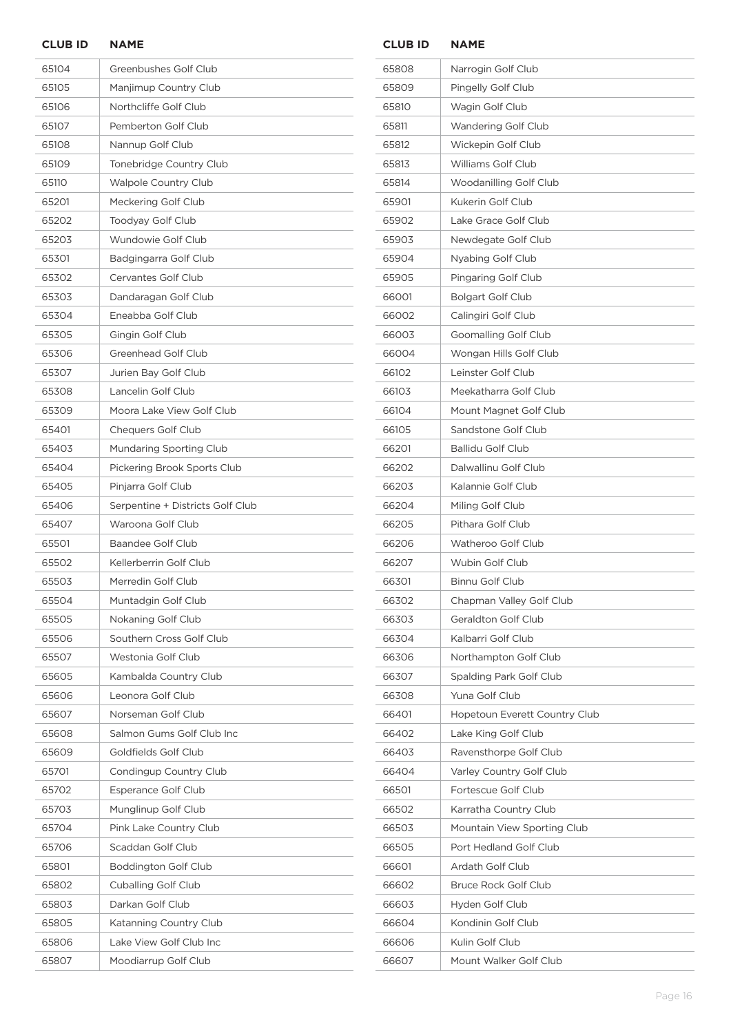| <b>CLUB ID</b> | <b>NAME</b>                      |
|----------------|----------------------------------|
| 65104          | Greenbushes Golf Club            |
| 65105          | Manjimup Country Club            |
| 65106          | Northcliffe Golf Club            |
| 65107          | Pemberton Golf Club              |
| 65108          | Nannup Golf Club                 |
| 65109          | Tonebridge Country Club          |
| 65110          | <b>Walpole Country Club</b>      |
| 65201          | Meckering Golf Club              |
| 65202          | <b>Toodyay Golf Club</b>         |
| 65203          | Wundowie Golf Club               |
| 65301          | Badgingarra Golf Club            |
| 65302          | Cervantes Golf Club              |
| 65303          | Dandaragan Golf Club             |
| 65304          | Eneabba Golf Club                |
| 65305          | Gingin Golf Club                 |
| 65306          | Greenhead Golf Club              |
| 65307          | Jurien Bay Golf Club             |
| 65308          | Lancelin Golf Club               |
| 65309          | Moora Lake View Golf Club        |
| 65401          | <b>Chequers Golf Club</b>        |
| 65403          | <b>Mundaring Sporting Club</b>   |
| 65404          | Pickering Brook Sports Club      |
| 65405          | Pinjarra Golf Club               |
| 65406          | Serpentine + Districts Golf Club |
| 65407          | Waroona Golf Club                |
| 65501          | Baandee Golf Club                |
| 65502          | Kellerberrin Golf Club           |
| 65503          | Merredin Golf Club               |
| 65504          | Muntadgin Golf Club              |
| 65505          | Nokaning Golf Club               |
| 65506          | Southern Cross Golf Club         |
| 65507          | Westonia Golf Club               |
| 65605          | Kambalda Country Club            |
| 65606          | Leonora Golf Club                |
| 65607          | Norseman Golf Club               |
| 65608          | Salmon Gums Golf Club Inc        |
| 65609          | Goldfields Golf Club             |
| 65701          | Condingup Country Club           |
| 65702          | Esperance Golf Club              |
| 65703          | Munglinup Golf Club              |
| 65704          | Pink Lake Country Club           |
| 65706          | Scaddan Golf Club                |
| 65801          | <b>Boddington Golf Club</b>      |
| 65802          | <b>Cuballing Golf Club</b>       |
| 65803          | Darkan Golf Club                 |
| 65805          | Katanning Country Club           |
| 65806          | Lake View Golf Club Inc          |
| 65807          | Moodiarrup Golf Club             |

| <b>CLUB ID</b> | <b>NAME</b>                   |
|----------------|-------------------------------|
| 65808          | Narrogin Golf Club            |
| 65809          | Pingelly Golf Club            |
| 65810          | Wagin Golf Club               |
| 65811          | Wandering Golf Club           |
| 65812          | Wickepin Golf Club            |
| 65813          | <b>Williams Golf Club</b>     |
| 65814          | Woodanilling Golf Club        |
| 65901          | Kukerin Golf Club             |
| 65902          | Lake Grace Golf Club          |
| 65903          | Newdegate Golf Club           |
| 65904          | Nyabing Golf Club             |
| 65905          | Pingaring Golf Club           |
| 66001          | <b>Bolgart Golf Club</b>      |
| 66002          | Calingiri Golf Club           |
| 66003          | <b>Goomalling Golf Club</b>   |
| 66004          | Wongan Hills Golf Club        |
| 66102          | Leinster Golf Club            |
| 66103          | Meekatharra Golf Club         |
| 66104          | Mount Magnet Golf Club        |
| 66105          | Sandstone Golf Club           |
| 66201          | <b>Ballidu Golf Club</b>      |
| 66202          | Dalwallinu Golf Club          |
| 66203          | Kalannie Golf Club            |
| 66204          | Miling Golf Club              |
| 66205          | Pithara Golf Club             |
| 66206          | Watheroo Golf Club            |
| 66207          | <b>Wubin Golf Club</b>        |
| 66301          | <b>Binnu Golf Club</b>        |
| 66302          | Chapman Valley Golf Club      |
| 66303          | <b>Geraldton Golf Club</b>    |
| 66304          | Kalbarri Golf Club            |
| 66306          | Northampton Golf Club         |
| 66307          | Spalding Park Golf Club       |
| 66308          | Yuna Golf Club                |
| 66401          | Hopetoun Everett Country Club |
| 66402          | Lake King Golf Club           |
| 66403          | Ravensthorpe Golf Club        |
| 66404          | Varley Country Golf Club      |
| 66501          | Fortescue Golf Club           |
| 66502          | Karratha Country Club         |
| 66503          | Mountain View Sporting Club   |
| 66505          | Port Hedland Golf Club        |
| 66601          | Ardath Golf Club              |
| 66602          | <b>Bruce Rock Golf Club</b>   |
| 66603          | Hyden Golf Club               |
| 66604          | Kondinin Golf Club            |
| 66606          | Kulin Golf Club               |
| 66607          | Mount Walker Golf Club        |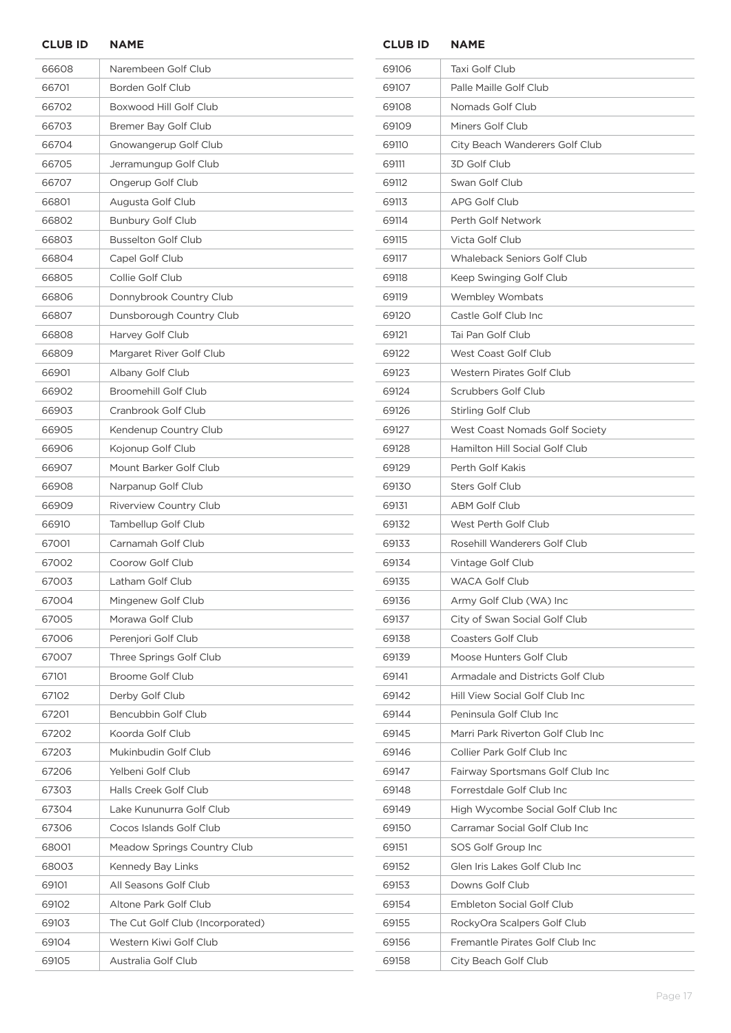| <b>CLUB ID</b> | NAME                             |
|----------------|----------------------------------|
| 66608          | Narembeen Golf Club              |
| 66701          | Borden Golf Club                 |
| 66702          | Boxwood Hill Golf Club           |
| 66703          | Bremer Bay Golf Club             |
| 66704          | Gnowangerup Golf Club            |
| 66705          | Jerramungup Golf Club            |
| 66707          | Ongerup Golf Club                |
| 66801          | Augusta Golf Club                |
| 66802          | <b>Bunbury Golf Club</b>         |
| 66803          | <b>Busselton Golf Club</b>       |
| 66804          | Capel Golf Club                  |
| 66805          | Collie Golf Club                 |
| 66806          | Donnybrook Country Club          |
| 66807          | Dunsborough Country Club         |
| 66808          | Harvey Golf Club                 |
| 66809          | Margaret River Golf Club         |
| 66901          | Albany Golf Club                 |
| 66902          | <b>Broomehill Golf Club</b>      |
| 66903          | Cranbrook Golf Club              |
| 66905          | Kendenup Country Club            |
| 66906          | Kojonup Golf Club                |
| 66907          | Mount Barker Golf Club           |
| 66908          | Narpanup Golf Club               |
| 66909          | Riverview Country Club           |
| 66910          | Tambellup Golf Club              |
| 67001          | Carnamah Golf Club               |
| 67002          | Coorow Golf Club                 |
| 67003          | Latham Golf Club                 |
| 67004          | Mingenew Golf Club               |
| 67005          | Morawa Golf Club                 |
| 67006          | Perenjori Golf Club              |
| 67007          | Three Springs Golf Club          |
| 67101          | <b>Broome Golf Club</b>          |
| 67102          | Derby Golf Club                  |
| 67201          | Bencubbin Golf Club              |
| 67202          | Koorda Golf Club                 |
| 67203          | Mukinbudin Golf Club             |
| 67206          | Yelbeni Golf Club                |
| 67303          | <b>Halls Creek Golf Club</b>     |
| 67304          | Lake Kununurra Golf Club         |
| 67306          | Cocos Islands Golf Club          |
| 68001          | Meadow Springs Country Club      |
| 68003          | Kennedy Bay Links                |
| 69101          | All Seasons Golf Club            |
| 69102          | Altone Park Golf Club            |
| 69103          | The Cut Golf Club (Incorporated) |
| 69104          | Western Kiwi Golf Club           |
| 69105          | Australia Golf Club              |

| <b>CLUB ID</b> | <b>NAME</b>                                                     |
|----------------|-----------------------------------------------------------------|
| 69106          | Taxi Golf Club                                                  |
| 69107          | Palle Maille Golf Club                                          |
| 69108          | Nomads Golf Club                                                |
| 69109          | Miners Golf Club                                                |
| 69110          | City Beach Wanderers Golf Club                                  |
| 69111          | 3D Golf Club                                                    |
| 69112          | Swan Golf Club                                                  |
| 69113          | <b>APG Golf Club</b>                                            |
| 69114          | Perth Golf Network                                              |
| 69115          | Victa Golf Club                                                 |
| 69117          | <b>Whaleback Seniors Golf Club</b>                              |
| 69118          | Keep Swinging Golf Club                                         |
| 69119          | Wembley Wombats                                                 |
| 69120          | Castle Golf Club Inc                                            |
| 69121          | Tai Pan Golf Club                                               |
| 69122          | West Coast Golf Club                                            |
| 69123          | Western Pirates Golf Club                                       |
| 69124          | Scrubbers Golf Club                                             |
| 69126          | <b>Stirling Golf Club</b>                                       |
| 69127          | West Coast Nomads Golf Society                                  |
| 69128          | <b>Hamilton Hill Social Golf Club</b>                           |
| 69129          | Perth Golf Kakis                                                |
| 69130          | <b>Sters Golf Club</b>                                          |
| 69131          | <b>ABM Golf Club</b>                                            |
| 69132          | West Perth Golf Club                                            |
| 69133          | Rosehill Wanderers Golf Club                                    |
| 69134          | Vintage Golf Club                                               |
| 69135          | <b>WACA Golf Club</b>                                           |
| 69136          | Army Golf Club (WA) Inc                                         |
| 69137          | City of Swan Social Golf Club                                   |
| 69138          | <b>Coasters Golf Club</b>                                       |
| 69139          | Moose Hunters Golf Club                                         |
| 69141          | Armadale and Districts Golf Club                                |
| 69142          | Hill View Social Golf Club Inc                                  |
| 69144          | Peninsula Golf Club Inc                                         |
| 69145          | Marri Park Riverton Golf Club Inc                               |
| 69146          | Collier Park Golf Club Inc                                      |
| 69147          | Fairway Sportsmans Golf Club Inc                                |
| 69148          | Forrestdale Golf Club Inc                                       |
| 69149          | High Wycombe Social Golf Club Inc                               |
| 69150          | Carramar Social Golf Club Inc                                   |
| 69151          | SOS Golf Group Inc                                              |
| 69152          | Glen Iris Lakes Golf Club Inc                                   |
| 69153          | Downs Golf Club                                                 |
| 69154<br>69155 | <b>Embleton Social Golf Club</b><br>RockyOra Scalpers Golf Club |
| 69156          | Fremantle Pirates Golf Club Inc                                 |
| 69158          |                                                                 |
|                | City Beach Golf Club                                            |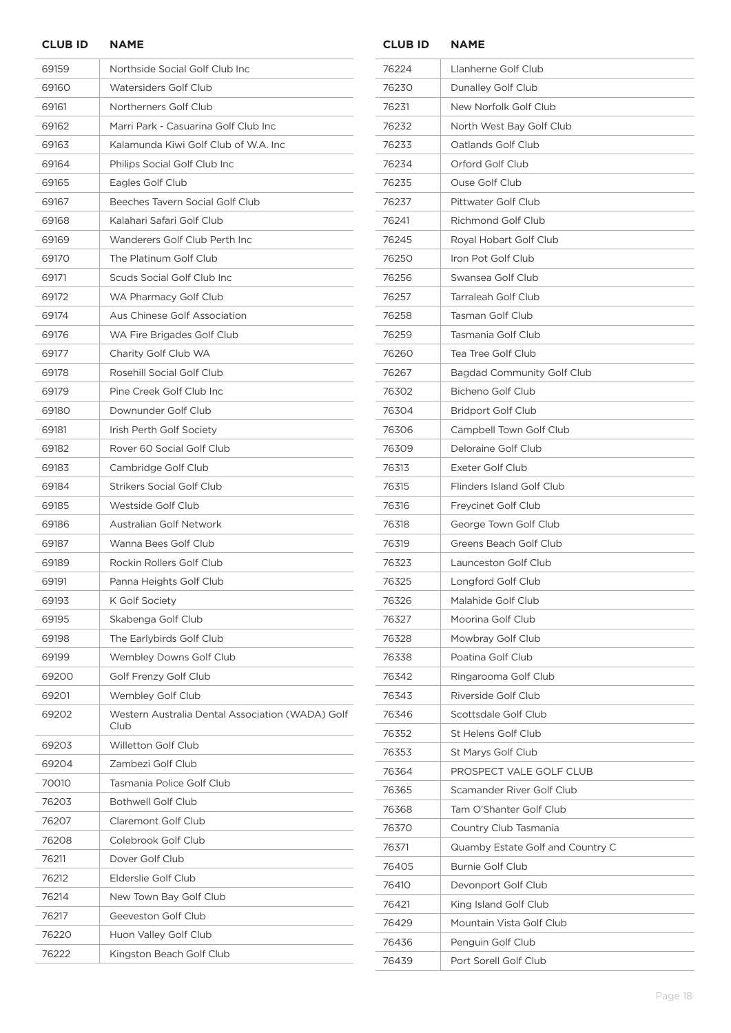| <b>CLUB ID</b> | <b>NAME</b>                                              |
|----------------|----------------------------------------------------------|
| 69159          | Northside Social Golf Club Inc                           |
| 69160          | <b>Watersiders Golf Club</b>                             |
| 69161          | Northerners Golf Club                                    |
| 69162          | Marri Park - Casuarina Golf Club Inc                     |
| 69163          | Kalamunda Kiwi Golf Club of W.A. Inc                     |
| 69164          | <b>Philips Social Golf Club Inc</b>                      |
| 69165          | Eagles Golf Club                                         |
| 69167          | Beeches Tavern Social Golf Club                          |
| 69168          | Kalahari Safari Golf Club                                |
| 69169          | Wanderers Golf Club Perth Inc                            |
| 69170          | The Platinum Golf Club                                   |
| 69171          | Scuds Social Golf Club Inc                               |
| 69172          | WA Pharmacy Golf Club                                    |
| 69174          | Aus Chinese Golf Association                             |
| 69176          | WA Fire Brigades Golf Club                               |
| 69177          | Charity Golf Club WA                                     |
| 69178          | Rosehill Social Golf Club                                |
| 69179          | Pine Creek Golf Club Inc                                 |
| 69180          | Downunder Golf Club                                      |
| 69181          | Irish Perth Golf Society                                 |
| 69182          | Rover 60 Social Golf Club                                |
| 69183          | Cambridge Golf Club                                      |
| 69184          | <b>Strikers Social Golf Club</b>                         |
| 69185          | Westside Golf Club                                       |
| 69186          | <b>Australian Golf Network</b>                           |
| 69187          | Wanna Bees Golf Club                                     |
| 69189          | Rockin Rollers Golf Club                                 |
| 69191          | Panna Heights Golf Club                                  |
| 69193          | K Golf Society                                           |
| 69195          | Skabenga Golf Club                                       |
| 69198          | The Earlybirds Golf Club                                 |
| 69199          | Wembley Downs Golf Club                                  |
| 69200          | Golf Frenzy Golf Club                                    |
| 69201          | Wembley Golf Club                                        |
| 69202          | Western Australia Dental Association (WADA) Golf<br>Club |
| 69203          | <b>Willetton Golf Club</b>                               |
| 69204          | Zambezi Golf Club                                        |
| 70010          | Tasmania Police Golf Club                                |
| 76203          | <b>Bothwell Golf Club</b>                                |
| 76207          | Claremont Golf Club                                      |
| 76208          | Colebrook Golf Club                                      |
| 76211          | Dover Golf Club                                          |
| 76212          | Elderslie Golf Club                                      |
| 76214          | New Town Bay Golf Club                                   |
| 76217          | Geeveston Golf Club                                      |
| 76220          | Huon Valley Golf Club                                    |
| 76222          | Kingston Beach Golf Club                                 |

| <b>CLUB ID</b> | <b>NAME</b>                       |
|----------------|-----------------------------------|
| 76224          | Llanherne Golf Club               |
| 76230          | Dunalley Golf Club                |
| 76231          | New Norfolk Golf Club             |
| 76232          | North West Bay Golf Club          |
| 76233          | Oatlands Golf Club                |
| 76234          | Orford Golf Club                  |
| 76235          | <b>Ouse Golf Club</b>             |
| 76237          | Pittwater Golf Club               |
| 76241          | <b>Richmond Golf Club</b>         |
| 76245          | Royal Hobart Golf Club            |
| 76250          | Iron Pot Golf Club                |
| 76256          | Swansea Golf Club                 |
| 76257          | <b>Tarraleah Golf Club</b>        |
| 76258          | <b>Tasman Golf Club</b>           |
| 76259          | Tasmania Golf Club                |
| 76260          | <b>Tea Tree Golf Club</b>         |
| 76267          | <b>Bagdad Community Golf Club</b> |
| 76302          | Bicheno Golf Club                 |
| 76304          | <b>Bridport Golf Club</b>         |
| 76306          | Campbell Town Golf Club           |
| 76309          | Deloraine Golf Club               |
| 76313          | <b>Exeter Golf Club</b>           |
| 76315          | <b>Flinders Island Golf Club</b>  |
| 76316          | <b>Freycinet Golf Club</b>        |
| 76318          | George Town Golf Club             |
| 76319          | Greens Beach Golf Club            |
| 76323          | Launceston Golf Club              |
| 76325          | Longford Golf Club                |
| 76326          | Malahide Golf Club                |
| 76327          | Moorina Golf Club                 |
| 76328          | Mowbray Golf Club                 |
| 76338          | Poatina Golf Club                 |
| 76342          | Ringarooma Golf Club              |
| 76343          | Riverside Golf Club               |
| 76346          | Scottsdale Golf Club              |
| 76352          | St Helens Golf Club               |
| 76353          | <b>St Marys Golf Club</b>         |
| 76364          | PROSPECT VALE GOLF CLUB           |
| 76365          | Scamander River Golf Club         |
| 76368          | Tam O'Shanter Golf Club           |
| 76370          | Country Club Tasmania             |
| 76371          | Quamby Estate Golf and Country C  |
| 76405          | <b>Burnie Golf Club</b>           |
| 76410          | Devonport Golf Club               |
| 76421          | King Island Golf Club             |
| 76429          | Mountain Vista Golf Club          |
| 76436          | Penguin Golf Club                 |
| 76439          | Port Sorell Golf Club             |